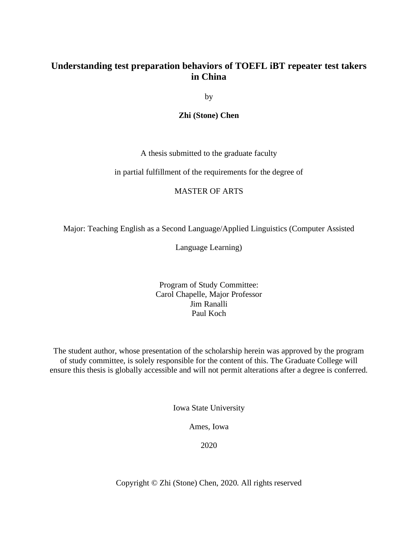# **Understanding test preparation behaviors of TOEFL iBT repeater test takers in China**

by

**Zhi (Stone) Chen**

A thesis submitted to the graduate faculty

in partial fulfillment of the requirements for the degree of

# MASTER OF ARTS

Major: Teaching English as a Second Language/Applied Linguistics (Computer Assisted

Language Learning)

# Program of Study Committee: Carol Chapelle, Major Professor Jim Ranalli Paul Koch

The student author, whose presentation of the scholarship herein was approved by the program of study committee, is solely responsible for the content of this. The Graduate College will ensure this thesis is globally accessible and will not permit alterations after a degree is conferred.

Iowa State University

Ames, Iowa

2020

Copyright © Zhi (Stone) Chen, 2020. All rights reserved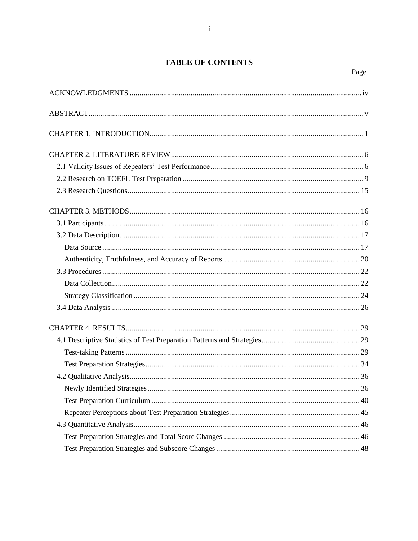# **TABLE OF CONTENTS**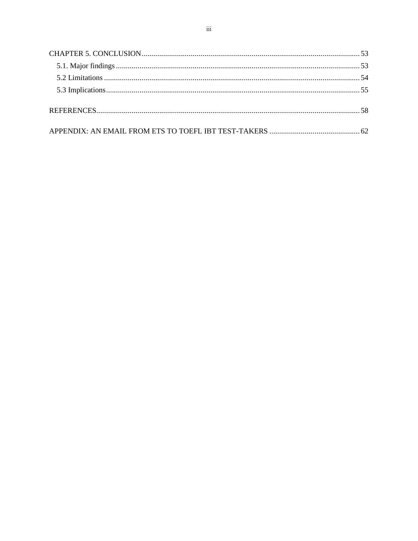<span id="page-2-0"></span>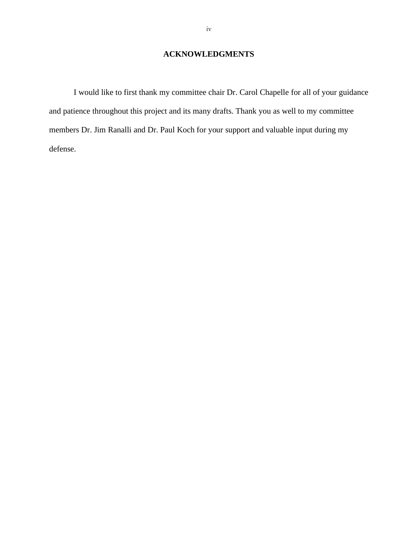# **ACKNOWLEDGMENTS**

I would like to first thank my committee chair Dr. Carol Chapelle for all of your guidance and patience throughout this project and its many drafts. Thank you as well to my committee members Dr. Jim Ranalli and Dr. Paul Koch for your support and valuable input during my defense.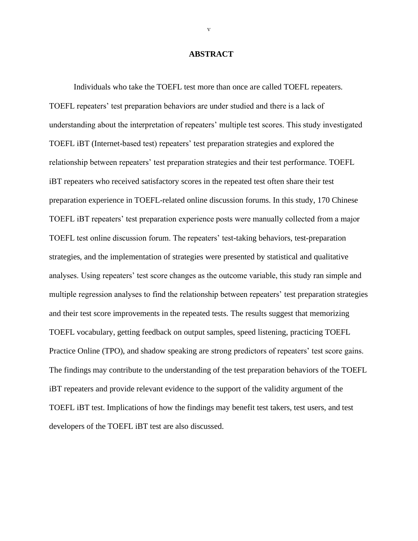### **ABSTRACT**

<span id="page-4-0"></span>Individuals who take the TOEFL test more than once are called TOEFL repeaters. TOEFL repeaters' test preparation behaviors are under studied and there is a lack of understanding about the interpretation of repeaters' multiple test scores. This study investigated TOEFL iBT (Internet-based test) repeaters' test preparation strategies and explored the relationship between repeaters' test preparation strategies and their test performance. TOEFL iBT repeaters who received satisfactory scores in the repeated test often share their test preparation experience in TOEFL-related online discussion forums. In this study, 170 Chinese TOEFL iBT repeaters' test preparation experience posts were manually collected from a major TOEFL test online discussion forum. The repeaters' test-taking behaviors, test-preparation strategies, and the implementation of strategies were presented by statistical and qualitative analyses. Using repeaters' test score changes as the outcome variable, this study ran simple and multiple regression analyses to find the relationship between repeaters' test preparation strategies and their test score improvements in the repeated tests. The results suggest that memorizing TOEFL vocabulary, getting feedback on output samples, speed listening, practicing TOEFL Practice Online (TPO), and shadow speaking are strong predictors of repeaters' test score gains. The findings may contribute to the understanding of the test preparation behaviors of the TOEFL iBT repeaters and provide relevant evidence to the support of the validity argument of the TOEFL iBT test. Implications of how the findings may benefit test takers, test users, and test developers of the TOEFL iBT test are also discussed.

v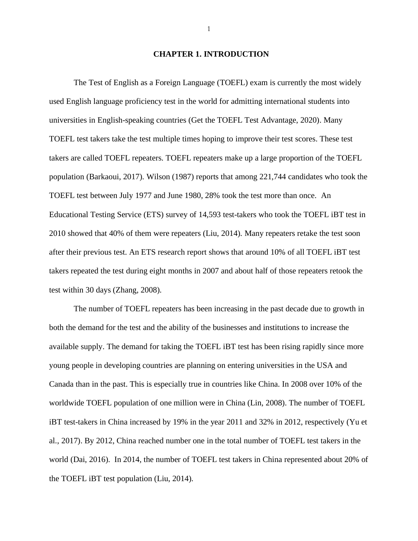#### **CHAPTER 1. INTRODUCTION**

<span id="page-5-0"></span>The Test of English as a Foreign Language (TOEFL) exam is currently the most widely used English language proficiency test in the world for admitting international students into universities in English-speaking countries (Get the TOEFL Test Advantage, 2020). Many TOEFL test takers take the test multiple times hoping to improve their test scores. These test takers are called TOEFL repeaters. TOEFL repeaters make up a large proportion of the TOEFL population (Barkaoui, 2017). Wilson (1987) reports that among 221,744 candidates who took the TOEFL test between July 1977 and June 1980, 28% took the test more than once. An Educational Testing Service (ETS) survey of 14,593 test-takers who took the TOEFL iBT test in 2010 showed that 40% of them were repeaters (Liu, 2014). Many repeaters retake the test soon after their previous test. An ETS research report shows that around 10% of all TOEFL iBT test takers repeated the test during eight months in 2007 and about half of those repeaters retook the test within 30 days (Zhang, 2008).

The number of TOEFL repeaters has been increasing in the past decade due to growth in both the demand for the test and the ability of the businesses and institutions to increase the available supply. The demand for taking the TOEFL iBT test has been rising rapidly since more young people in developing countries are planning on entering universities in the USA and Canada than in the past. This is especially true in countries like China. In 2008 over 10% of the worldwide TOEFL population of one million were in China (Lin, 2008). The number of TOEFL iBT test-takers in China increased by 19% in the year 2011 and 32% in 2012, respectively (Yu et al., 2017). By 2012, China reached number one in the total number of TOEFL test takers in the world (Dai, 2016). In 2014, the number of TOEFL test takers in China represented about 20% of the TOEFL iBT test population (Liu, 2014).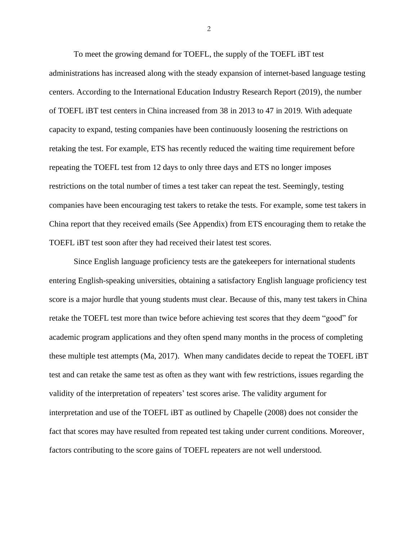To meet the growing demand for TOEFL, the supply of the TOEFL iBT test administrations has increased along with the steady expansion of internet-based language testing centers. According to the International Education Industry Research Report (2019), the number of TOEFL iBT test centers in China increased from 38 in 2013 to 47 in 2019. With adequate capacity to expand, testing companies have been continuously loosening the restrictions on retaking the test. For example, ETS has recently reduced the waiting time requirement before repeating the TOEFL test from 12 days to only three days and ETS no longer imposes restrictions on the total number of times a test taker can repeat the test. Seemingly, testing companies have been encouraging test takers to retake the tests. For example, some test takers in China report that they received emails (See Appendix) from ETS encouraging them to retake the TOEFL iBT test soon after they had received their latest test scores.

Since English language proficiency tests are the gatekeepers for international students entering English-speaking universities, obtaining a satisfactory English language proficiency test score is a major hurdle that young students must clear. Because of this, many test takers in China retake the TOEFL test more than twice before achieving test scores that they deem "good" for academic program applications and they often spend many months in the process of completing these multiple test attempts (Ma, 2017). When many candidates decide to repeat the TOEFL iBT test and can retake the same test as often as they want with few restrictions, issues regarding the validity of the interpretation of repeaters' test scores arise. The validity argument for interpretation and use of the TOEFL iBT as outlined by Chapelle (2008) does not consider the fact that scores may have resulted from repeated test taking under current conditions. Moreover, factors contributing to the score gains of TOEFL repeaters are not well understood.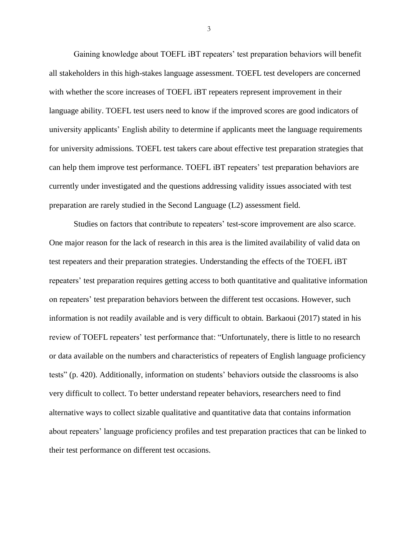Gaining knowledge about TOEFL iBT repeaters' test preparation behaviors will benefit all stakeholders in this high-stakes language assessment. TOEFL test developers are concerned with whether the score increases of TOEFL iBT repeaters represent improvement in their language ability. TOEFL test users need to know if the improved scores are good indicators of university applicants' English ability to determine if applicants meet the language requirements for university admissions. TOEFL test takers care about effective test preparation strategies that can help them improve test performance. TOEFL iBT repeaters' test preparation behaviors are currently under investigated and the questions addressing validity issues associated with test preparation are rarely studied in the Second Language (L2) assessment field.

Studies on factors that contribute to repeaters' test-score improvement are also scarce. One major reason for the lack of research in this area is the limited availability of valid data on test repeaters and their preparation strategies. Understanding the effects of the TOEFL iBT repeaters' test preparation requires getting access to both quantitative and qualitative information on repeaters' test preparation behaviors between the different test occasions. However, such information is not readily available and is very difficult to obtain. Barkaoui (2017) stated in his review of TOEFL repeaters' test performance that: "Unfortunately, there is little to no research or data available on the numbers and characteristics of repeaters of English language proficiency tests" (p. 420). Additionally, information on students' behaviors outside the classrooms is also very difficult to collect. To better understand repeater behaviors, researchers need to find alternative ways to collect sizable qualitative and quantitative data that contains information about repeaters' language proficiency profiles and test preparation practices that can be linked to their test performance on different test occasions.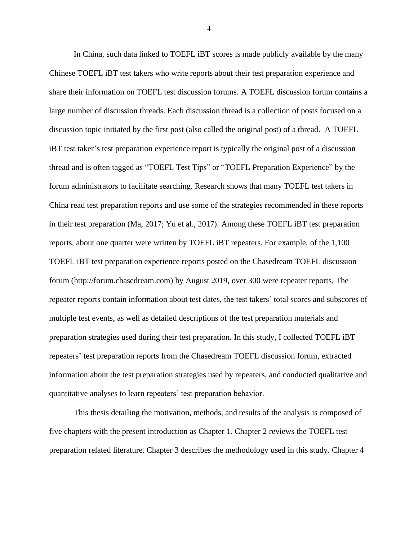In China, such data linked to TOEFL iBT scores is made publicly available by the many Chinese TOEFL iBT test takers who write reports about their test preparation experience and share their information on TOEFL test discussion forums. A TOEFL discussion forum contains a large number of discussion threads. Each discussion thread is a collection of posts focused on a discussion topic initiated by the first post (also called the original post) of a thread. A TOEFL iBT test taker's test preparation experience report is typically the original post of a discussion thread and is often tagged as "TOEFL Test Tips" or "TOEFL Preparation Experience" by the forum administrators to facilitate searching. Research shows that many TOEFL test takers in China read test preparation reports and use some of the strategies recommended in these reports in their test preparation (Ma, 2017; Yu et al., 2017). Among these TOEFL iBT test preparation reports, about one quarter were written by TOEFL iBT repeaters. For example, of the 1,100 TOEFL iBT test preparation experience reports posted on the Chasedream TOEFL discussion forum (http://forum.chasedream.com) by August 2019, over 300 were repeater reports. The repeater reports contain information about test dates, the test takers' total scores and subscores of multiple test events, as well as detailed descriptions of the test preparation materials and preparation strategies used during their test preparation. In this study, I collected TOEFL iBT repeaters' test preparation reports from the Chasedream TOEFL discussion forum, extracted information about the test preparation strategies used by repeaters, and conducted qualitative and quantitative analyses to learn repeaters' test preparation behavior.

This thesis detailing the motivation, methods, and results of the analysis is composed of five chapters with the present introduction as Chapter 1. Chapter 2 reviews the TOEFL test preparation related literature. Chapter 3 describes the methodology used in this study. Chapter 4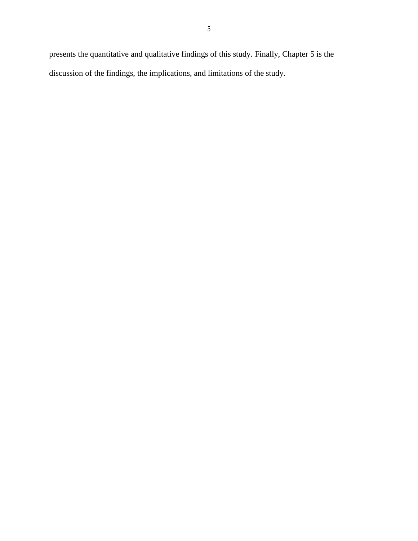presents the quantitative and qualitative findings of this study. Finally, Chapter 5 is the discussion of the findings, the implications, and limitations of the study.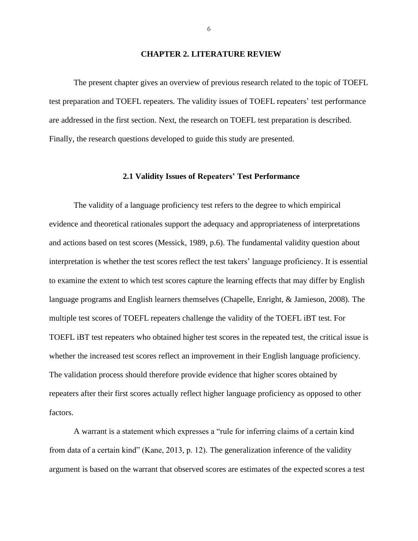#### **CHAPTER 2. LITERATURE REVIEW**

<span id="page-10-0"></span>The present chapter gives an overview of previous research related to the topic of TOEFL test preparation and TOEFL repeaters. The validity issues of TOEFL repeaters' test performance are addressed in the first section. Next, the research on TOEFL test preparation is described. Finally, the research questions developed to guide this study are presented.

### **2.1 Validity Issues of Repeaters' Test Performance**

<span id="page-10-1"></span>The validity of a language proficiency test refers to the degree to which empirical evidence and theoretical rationales support the adequacy and appropriateness of interpretations and actions based on test scores (Messick, 1989, p.6). The fundamental validity question about interpretation is whether the test scores reflect the test takers' language proficiency. It is essential to examine the extent to which test scores capture the learning effects that may differ by English language programs and English learners themselves (Chapelle, Enright, & Jamieson, 2008). The multiple test scores of TOEFL repeaters challenge the validity of the TOEFL iBT test. For TOEFL iBT test repeaters who obtained higher test scores in the repeated test, the critical issue is whether the increased test scores reflect an improvement in their English language proficiency. The validation process should therefore provide evidence that higher scores obtained by repeaters after their first scores actually reflect higher language proficiency as opposed to other factors.

A warrant is a statement which expresses a "rule for inferring claims of a certain kind from data of a certain kind" (Kane, 2013, p. 12). The generalization inference of the validity argument is based on the warrant that observed scores are estimates of the expected scores a test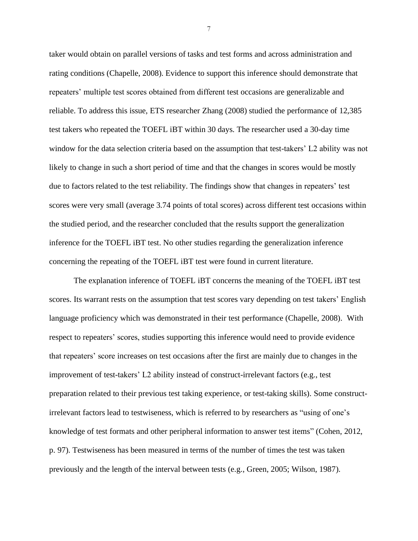taker would obtain on parallel versions of tasks and test forms and across administration and rating conditions (Chapelle, 2008). Evidence to support this inference should demonstrate that repeaters' multiple test scores obtained from different test occasions are generalizable and reliable. To address this issue, ETS researcher Zhang (2008) studied the performance of 12,385 test takers who repeated the TOEFL iBT within 30 days. The researcher used a 30-day time window for the data selection criteria based on the assumption that test-takers' L2 ability was not likely to change in such a short period of time and that the changes in scores would be mostly due to factors related to the test reliability. The findings show that changes in repeaters' test scores were very small (average 3.74 points of total scores) across different test occasions within the studied period, and the researcher concluded that the results support the generalization inference for the TOEFL iBT test. No other studies regarding the generalization inference concerning the repeating of the TOEFL iBT test were found in current literature.

The explanation inference of TOEFL iBT concerns the meaning of the TOEFL iBT test scores. Its warrant rests on the assumption that test scores vary depending on test takers' English language proficiency which was demonstrated in their test performance (Chapelle, 2008). With respect to repeaters' scores, studies supporting this inference would need to provide evidence that repeaters' score increases on test occasions after the first are mainly due to changes in the improvement of test-takers' L2 ability instead of construct-irrelevant factors (e.g., test preparation related to their previous test taking experience, or test-taking skills). Some constructirrelevant factors lead to testwiseness, which is referred to by researchers as "using of one's knowledge of test formats and other peripheral information to answer test items" (Cohen, 2012, p. 97). Testwiseness has been measured in terms of the number of times the test was taken previously and the length of the interval between tests (e.g., Green, 2005; Wilson, 1987).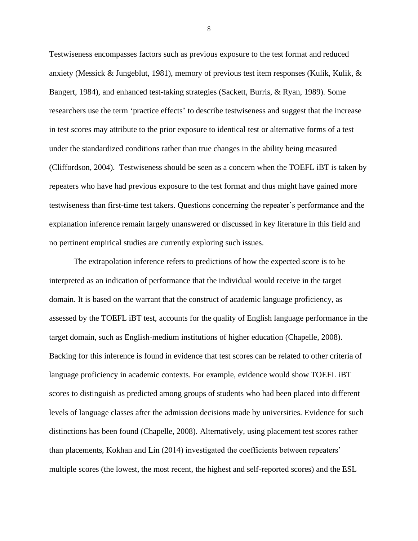Testwiseness encompasses factors such as previous exposure to the test format and reduced anxiety (Messick & Jungeblut, 1981), memory of previous test item responses (Kulik, Kulik, & Bangert, 1984), and enhanced test-taking strategies (Sackett, Burris, & Ryan, 1989). Some researchers use the term 'practice effects' to describe testwiseness and suggest that the increase in test scores may attribute to the prior exposure to identical test or alternative forms of a test under the standardized conditions rather than true changes in the ability being measured (Cliffordson, 2004). Testwiseness should be seen as a concern when the TOEFL iBT is taken by repeaters who have had previous exposure to the test format and thus might have gained more testwiseness than first-time test takers. Questions concerning the repeater's performance and the explanation inference remain largely unanswered or discussed in key literature in this field and no pertinent empirical studies are currently exploring such issues.

The extrapolation inference refers to predictions of how the expected score is to be interpreted as an indication of performance that the individual would receive in the target domain. It is based on the warrant that the construct of academic language proficiency, as assessed by the TOEFL iBT test, accounts for the quality of English language performance in the target domain, such as English-medium institutions of higher education (Chapelle, 2008). Backing for this inference is found in evidence that test scores can be related to other criteria of language proficiency in academic contexts. For example, evidence would show TOEFL iBT scores to distinguish as predicted among groups of students who had been placed into different levels of language classes after the admission decisions made by universities. Evidence for such distinctions has been found (Chapelle, 2008). Alternatively, using placement test scores rather than placements, Kokhan and Lin (2014) investigated the coefficients between repeaters' multiple scores (the lowest, the most recent, the highest and self-reported scores) and the ESL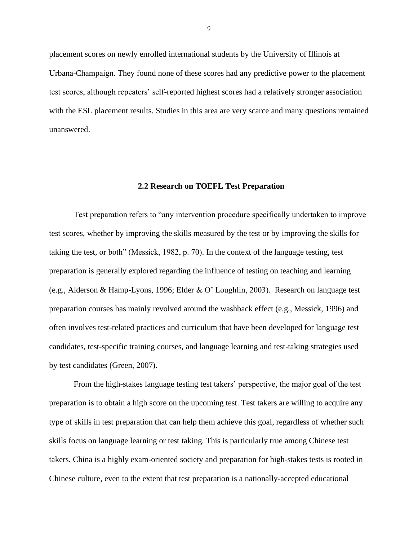placement scores on newly enrolled international students by the University of Illinois at Urbana-Champaign. They found none of these scores had any predictive power to the placement test scores, although repeaters' self-reported highest scores had a relatively stronger association with the ESL placement results. Studies in this area are very scarce and many questions remained unanswered.

#### **2.2 Research on TOEFL Test Preparation**

<span id="page-13-0"></span>Test preparation refers to "any intervention procedure specifically undertaken to improve test scores, whether by improving the skills measured by the test or by improving the skills for taking the test, or both" (Messick, 1982, p. 70). In the context of the language testing, test preparation is generally explored regarding the influence of testing on teaching and learning (e.g., Alderson & Hamp-Lyons, 1996; Elder & O' Loughlin, 2003). Research on language test preparation courses has mainly revolved around the washback effect (e.g., Messick, 1996) and often involves test-related practices and curriculum that have been developed for language test candidates, test-specific training courses, and language learning and test-taking strategies used by test candidates (Green, 2007).

From the high-stakes language testing test takers' perspective, the major goal of the test preparation is to obtain a high score on the upcoming test. Test takers are willing to acquire any type of skills in test preparation that can help them achieve this goal, regardless of whether such skills focus on language learning or test taking. This is particularly true among Chinese test takers. China is a highly exam-oriented society and preparation for high-stakes tests is rooted in Chinese culture, even to the extent that test preparation is a nationally-accepted educational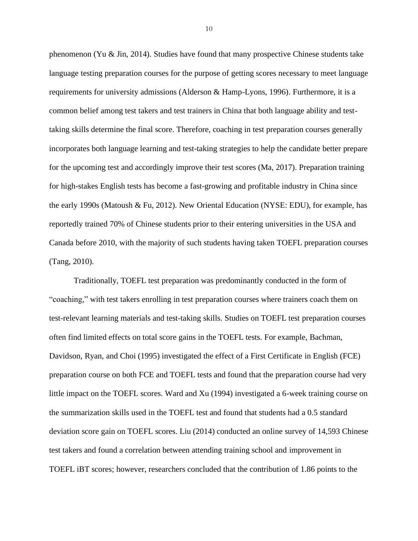phenomenon (Yu & Jin, 2014). Studies have found that many prospective Chinese students take language testing preparation courses for the purpose of getting scores necessary to meet language requirements for university admissions (Alderson & Hamp-Lyons, 1996). Furthermore, it is a common belief among test takers and test trainers in China that both language ability and testtaking skills determine the final score. Therefore, coaching in test preparation courses generally incorporates both language learning and test-taking strategies to help the candidate better prepare for the upcoming test and accordingly improve their test scores (Ma, 2017). Preparation training for high-stakes English tests has become a fast-growing and profitable industry in China since the early 1990s (Matoush & Fu, 2012). New Oriental Education (NYSE: EDU), for example, has reportedly trained 70% of Chinese students prior to their entering universities in the USA and Canada before 2010, with the majority of such students having taken TOEFL preparation courses (Tang, 2010).

Traditionally, TOEFL test preparation was predominantly conducted in the form of "coaching," with test takers enrolling in test preparation courses where trainers coach them on test-relevant learning materials and test-taking skills. Studies on TOEFL test preparation courses often find limited effects on total score gains in the TOEFL tests. For example, Bachman, Davidson, Ryan, and Choi (1995) investigated the effect of a First Certificate in English (FCE) preparation course on both FCE and TOEFL tests and found that the preparation course had very little impact on the TOEFL scores. Ward and Xu (1994) investigated a 6-week training course on the summarization skills used in the TOEFL test and found that students had a 0.5 standard deviation score gain on TOEFL scores. Liu (2014) conducted an online survey of 14,593 Chinese test takers and found a correlation between attending training school and improvement in TOEFL iBT scores; however, researchers concluded that the contribution of 1.86 points to the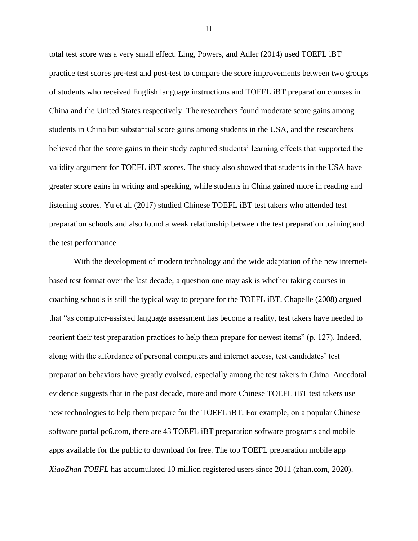total test score was a very small effect. Ling, Powers, and Adler (2014) used TOEFL iBT practice test scores pre-test and post-test to compare the score improvements between two groups of students who received English language instructions and TOEFL iBT preparation courses in China and the United States respectively. The researchers found moderate score gains among students in China but substantial score gains among students in the USA, and the researchers believed that the score gains in their study captured students' learning effects that supported the validity argument for TOEFL iBT scores. The study also showed that students in the USA have greater score gains in writing and speaking, while students in China gained more in reading and listening scores. Yu et al. (2017) studied Chinese TOEFL iBT test takers who attended test preparation schools and also found a weak relationship between the test preparation training and the test performance.

With the development of modern technology and the wide adaptation of the new internetbased test format over the last decade, a question one may ask is whether taking courses in coaching schools is still the typical way to prepare for the TOEFL iBT. Chapelle (2008) argued that "as computer-assisted language assessment has become a reality, test takers have needed to reorient their test preparation practices to help them prepare for newest items" (p. 127). Indeed, along with the affordance of personal computers and internet access, test candidates' test preparation behaviors have greatly evolved, especially among the test takers in China. Anecdotal evidence suggests that in the past decade, more and more Chinese TOEFL iBT test takers use new technologies to help them prepare for the TOEFL iBT. For example, on a popular Chinese software portal pc6.com, there are 43 TOEFL iBT preparation software programs and mobile apps available for the public to download for free. The top TOEFL preparation mobile app *XiaoZhan TOEFL* has accumulated 10 million registered users since 2011 (zhan.com, 2020).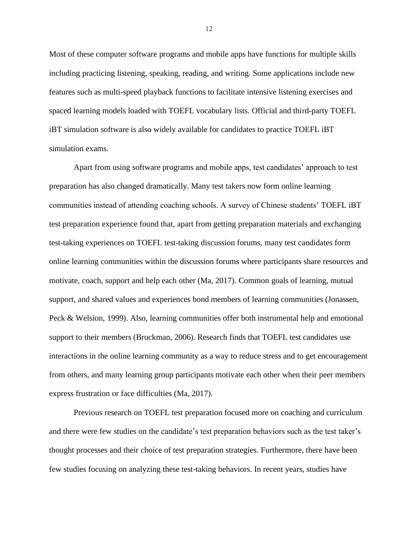Most of these computer software programs and mobile apps have functions for multiple skills including practicing listening, speaking, reading, and writing. Some applications include new features such as multi-speed playback functions to facilitate intensive listening exercises and spaced learning models loaded with TOEFL vocabulary lists. Official and third-party TOEFL iBT simulation software is also widely available for candidates to practice TOEFL iBT simulation exams.

Apart from using software programs and mobile apps, test candidates' approach to test preparation has also changed dramatically. Many test takers now form online learning communities instead of attending coaching schools. A survey of Chinese students' TOEFL iBT test preparation experience found that, apart from getting preparation materials and exchanging test-taking experiences on TOEFL test-taking discussion forums, many test candidates form online learning communities within the discussion forums where participants share resources and motivate, coach, support and help each other (Ma, 2017). Common goals of learning, mutual support, and shared values and experiences bond members of learning communities (Jonassen, Peck & Welsion, 1999). Also, learning communities offer both instrumental help and emotional support to their members (Bruckman, 2006). Research finds that TOEFL test candidates use interactions in the online learning community as a way to reduce stress and to get encouragement from others, and many learning group participants motivate each other when their peer members express frustration or face difficulties (Ma, 2017).

Previous research on TOEFL test preparation focused more on coaching and curriculum and there were few studies on the candidate's test preparation behaviors such as the test taker's thought processes and their choice of test preparation strategies. Furthermore, there have been few studies focusing on analyzing these test-taking behaviors. In recent years, studies have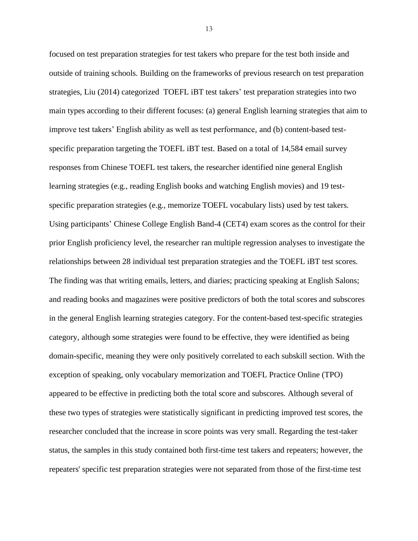focused on test preparation strategies for test takers who prepare for the test both inside and outside of training schools. Building on the frameworks of previous research on test preparation strategies, Liu (2014) categorized TOEFL iBT test takers' test preparation strategies into two main types according to their different focuses: (a) general English learning strategies that aim to improve test takers' English ability as well as test performance, and (b) content-based testspecific preparation targeting the TOEFL iBT test. Based on a total of 14,584 email survey responses from Chinese TOEFL test takers, the researcher identified nine general English learning strategies (e.g., reading English books and watching English movies) and 19 testspecific preparation strategies (e.g., memorize TOEFL vocabulary lists) used by test takers. Using participants' Chinese College English Band-4 (CET4) exam scores as the control for their prior English proficiency level, the researcher ran multiple regression analyses to investigate the relationships between 28 individual test preparation strategies and the TOEFL iBT test scores. The finding was that writing emails, letters, and diaries; practicing speaking at English Salons; and reading books and magazines were positive predictors of both the total scores and subscores in the general English learning strategies category. For the content-based test-specific strategies category, although some strategies were found to be effective, they were identified as being domain-specific, meaning they were only positively correlated to each subskill section. With the exception of speaking, only vocabulary memorization and TOEFL Practice Online (TPO) appeared to be effective in predicting both the total score and subscores. Although several of these two types of strategies were statistically significant in predicting improved test scores, the researcher concluded that the increase in score points was very small. Regarding the test-taker status, the samples in this study contained both first-time test takers and repeaters; however, the repeaters' specific test preparation strategies were not separated from those of the first-time test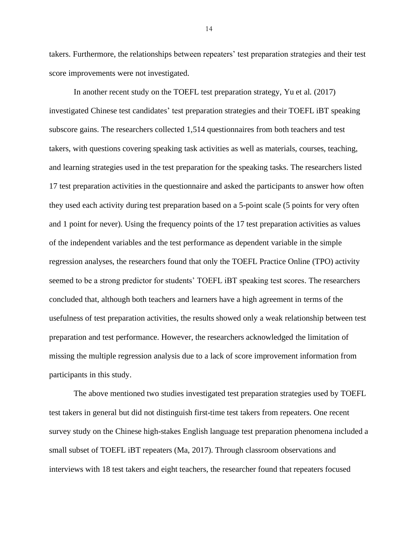takers. Furthermore, the relationships between repeaters' test preparation strategies and their test score improvements were not investigated.

In another recent study on the TOEFL test preparation strategy, Yu et al. (2017) investigated Chinese test candidates' test preparation strategies and their TOEFL iBT speaking subscore gains. The researchers collected 1,514 questionnaires from both teachers and test takers, with questions covering speaking task activities as well as materials, courses, teaching, and learning strategies used in the test preparation for the speaking tasks. The researchers listed 17 test preparation activities in the questionnaire and asked the participants to answer how often they used each activity during test preparation based on a 5-point scale (5 points for very often and 1 point for never). Using the frequency points of the 17 test preparation activities as values of the independent variables and the test performance as dependent variable in the simple regression analyses, the researchers found that only the TOEFL Practice Online (TPO) activity seemed to be a strong predictor for students' TOEFL iBT speaking test scores. The researchers concluded that, although both teachers and learners have a high agreement in terms of the usefulness of test preparation activities, the results showed only a weak relationship between test preparation and test performance. However, the researchers acknowledged the limitation of missing the multiple regression analysis due to a lack of score improvement information from participants in this study.

The above mentioned two studies investigated test preparation strategies used by TOEFL test takers in general but did not distinguish first-time test takers from repeaters. One recent survey study on the Chinese high-stakes English language test preparation phenomena included a small subset of TOEFL iBT repeaters (Ma, 2017). Through classroom observations and interviews with 18 test takers and eight teachers, the researcher found that repeaters focused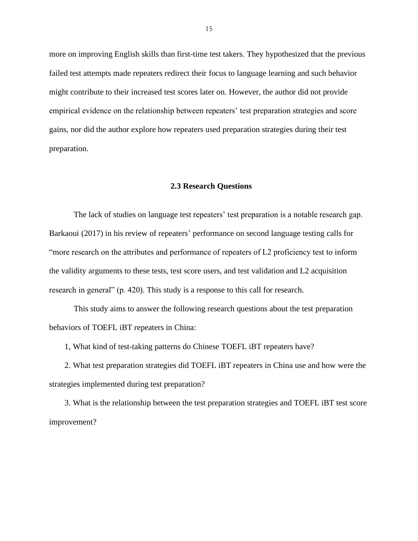more on improving English skills than first-time test takers. They hypothesized that the previous failed test attempts made repeaters redirect their focus to language learning and such behavior might contribute to their increased test scores later on. However, the author did not provide empirical evidence on the relationship between repeaters' test preparation strategies and score gains, nor did the author explore how repeaters used preparation strategies during their test preparation.

## **2.3 Research Questions**

<span id="page-19-0"></span>The lack of studies on language test repeaters' test preparation is a notable research gap. Barkaoui (2017) in his review of repeaters' performance on second language testing calls for "more research on the attributes and performance of repeaters of L2 proficiency test to inform the validity arguments to these tests, test score users, and test validation and L2 acquisition research in general" (p. 420). This study is a response to this call for research.

This study aims to answer the following research questions about the test preparation behaviors of TOEFL iBT repeaters in China:

1, What kind of test-taking patterns do Chinese TOEFL iBT repeaters have?

2. What test preparation strategies did TOEFL iBT repeaters in China use and how were the strategies implemented during test preparation?

3. What is the relationship between the test preparation strategies and TOEFL iBT test score improvement?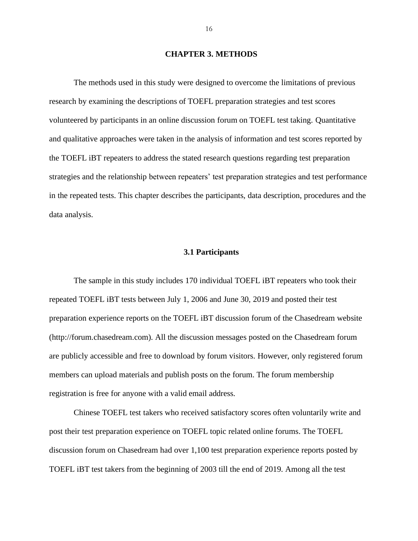# **CHAPTER 3. METHODS**

<span id="page-20-0"></span>The methods used in this study were designed to overcome the limitations of previous research by examining the descriptions of TOEFL preparation strategies and test scores volunteered by participants in an online discussion forum on TOEFL test taking. Quantitative and qualitative approaches were taken in the analysis of information and test scores reported by the TOEFL iBT repeaters to address the stated research questions regarding test preparation strategies and the relationship between repeaters' test preparation strategies and test performance in the repeated tests. This chapter describes the participants, data description, procedures and the data analysis.

### **3.1 Participants**

<span id="page-20-1"></span>The sample in this study includes 170 individual TOEFL iBT repeaters who took their repeated TOEFL iBT tests between July 1, 2006 and June 30, 2019 and posted their test preparation experience reports on the TOEFL iBT discussion forum of the Chasedream website (http://forum.chasedream.com). All the discussion messages posted on the Chasedream forum are publicly accessible and free to download by forum visitors. However, only registered forum members can upload materials and publish posts on the forum. The forum membership registration is free for anyone with a valid email address.

Chinese TOEFL test takers who received satisfactory scores often voluntarily write and post their test preparation experience on TOEFL topic related online forums. The TOEFL discussion forum on Chasedream had over 1,100 test preparation experience reports posted by TOEFL iBT test takers from the beginning of 2003 till the end of 2019. Among all the test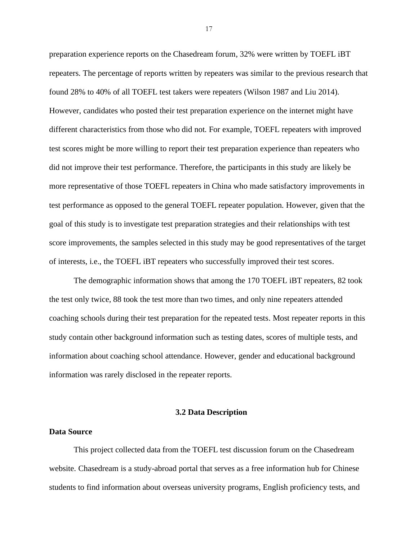preparation experience reports on the Chasedream forum, 32% were written by TOEFL iBT repeaters. The percentage of reports written by repeaters was similar to the previous research that found 28% to 40% of all TOEFL test takers were repeaters (Wilson 1987 and Liu 2014). However, candidates who posted their test preparation experience on the internet might have different characteristics from those who did not. For example, TOEFL repeaters with improved test scores might be more willing to report their test preparation experience than repeaters who did not improve their test performance. Therefore, the participants in this study are likely be more representative of those TOEFL repeaters in China who made satisfactory improvements in test performance as opposed to the general TOEFL repeater population. However, given that the goal of this study is to investigate test preparation strategies and their relationships with test score improvements, the samples selected in this study may be good representatives of the target of interests, i.e., the TOEFL iBT repeaters who successfully improved their test scores.

The demographic information shows that among the 170 TOEFL iBT repeaters, 82 took the test only twice, 88 took the test more than two times, and only nine repeaters attended coaching schools during their test preparation for the repeated tests. Most repeater reports in this study contain other background information such as testing dates, scores of multiple tests, and information about coaching school attendance. However, gender and educational background information was rarely disclosed in the repeater reports.

#### **3.2 Data Description**

#### <span id="page-21-1"></span><span id="page-21-0"></span>**Data Source**

This project collected data from the TOEFL test discussion forum on the Chasedream website. Chasedream is a study-abroad portal that serves as a free information hub for Chinese students to find information about overseas university programs, English proficiency tests, and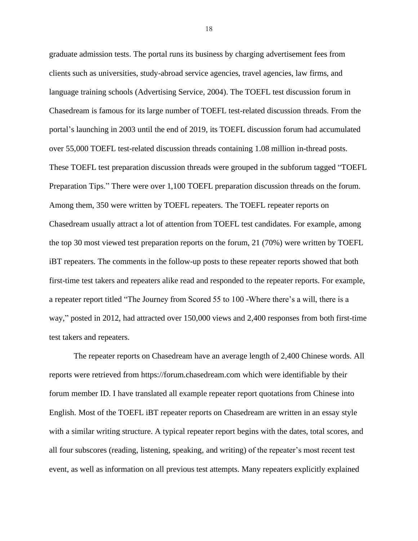graduate admission tests. The portal runs its business by charging advertisement fees from clients such as universities, study-abroad service agencies, travel agencies, law firms, and language training schools (Advertising Service, 2004). The TOEFL test discussion forum in Chasedream is famous for its large number of TOEFL test-related discussion threads. From the portal's launching in 2003 until the end of 2019, its TOEFL discussion forum had accumulated over 55,000 TOEFL test-related discussion threads containing 1.08 million in-thread posts. These TOEFL test preparation discussion threads were grouped in the subforum tagged "TOEFL Preparation Tips." There were over 1,100 TOEFL preparation discussion threads on the forum. Among them, 350 were written by TOEFL repeaters. The TOEFL repeater reports on Chasedream usually attract a lot of attention from TOEFL test candidates. For example, among the top 30 most viewed test preparation reports on the forum, 21 (70%) were written by TOEFL iBT repeaters. The comments in the follow-up posts to these repeater reports showed that both first-time test takers and repeaters alike read and responded to the repeater reports. For example, a repeater report titled "The Journey from Scored 55 to 100 -Where there's a will, there is a way," posted in 2012, had attracted over 150,000 views and 2,400 responses from both first-time test takers and repeaters.

The repeater reports on Chasedream have an average length of 2,400 Chinese words. All reports were retrieved from https://forum.chasedream.com which were identifiable by their forum member ID. I have translated all example repeater report quotations from Chinese into English. Most of the TOEFL iBT repeater reports on Chasedream are written in an essay style with a similar writing structure. A typical repeater report begins with the dates, total scores, and all four subscores (reading, listening, speaking, and writing) of the repeater's most recent test event, as well as information on all previous test attempts. Many repeaters explicitly explained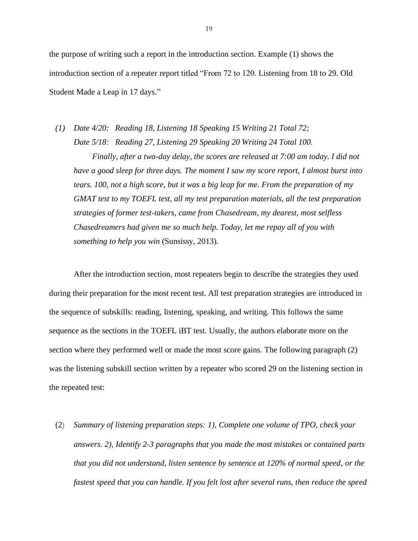the purpose of writing such a report in the introduction section. Example (1) shows the introduction section of a repeater report titled "From 72 to 120. Listening from 18 to 29. Old Student Made a Leap in 17 days."

*(1) Date 4/20: Reading 18, Listening 18 Speaking 15 Writing 21 Total 72; Date 5/18: Reading 27, Listening 29 Speaking 20 Writing 24 Total 100. Finally, after a two-day delay, the scores are released at 7:00 am today. I did not have a good sleep for three days. The moment I saw my score report, I almost burst into tears. 100, not a high score, but it was a big leap for me. From the preparation of my GMAT test to my TOEFL test, all my test preparation materials, all the test preparation strategies of former test-takers, came from Chasedream, my dearest, most selfless Chasedreamers had given me so much help. Today, let me repay all of you with something to help you win* (Sunsissy, 2013)*.*

After the introduction section, most repeaters begin to describe the strategies they used during their preparation for the most recent test. All test preparation strategies are introduced in the sequence of subskills: reading, listening, speaking, and writing. This follows the same sequence as the sections in the TOEFL iBT test. Usually, the authors elaborate more on the section where they performed well or made the most score gains. The following paragraph (2) was the listening subskill section written by a repeater who scored 29 on the listening section in the repeated test:

(2) *Summary of listening preparation steps: 1), Complete one volume of TPO, check your answers. 2), Identify 2-3 paragraphs that you made the most mistakes or contained parts that you did not understand, listen sentence by sentence at 120% of normal speed, or the fastest speed that you can handle. If you felt lost after several runs, then reduce the speed*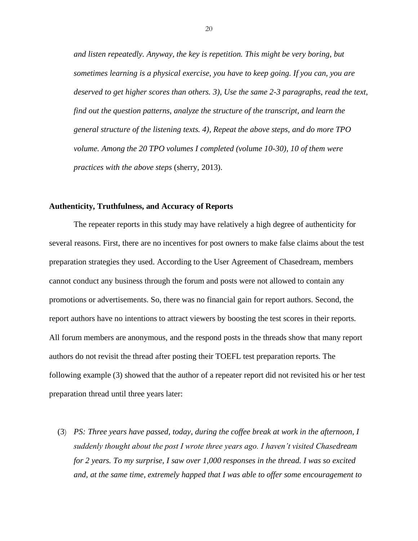*and listen repeatedly. Anyway, the key is repetition. This might be very boring, but sometimes learning is a physical exercise, you have to keep going. If you can, you are deserved to get higher scores than others. 3), Use the same 2-3 paragraphs, read the text, find out the question patterns, analyze the structure of the transcript, and learn the general structure of the listening texts. 4), Repeat the above steps, and do more TPO volume. Among the 20 TPO volumes I completed (volume 10-30), 10 of them were practices with the above steps* (sherry, 2013).

### <span id="page-24-0"></span>**Authenticity, Truthfulness, and Accuracy of Reports**

The repeater reports in this study may have relatively a high degree of authenticity for several reasons. First, there are no incentives for post owners to make false claims about the test preparation strategies they used. According to the User Agreement of Chasedream, members cannot conduct any business through the forum and posts were not allowed to contain any promotions or advertisements. So, there was no financial gain for report authors. Second, the report authors have no intentions to attract viewers by boosting the test scores in their reports. All forum members are anonymous, and the respond posts in the threads show that many report authors do not revisit the thread after posting their TOEFL test preparation reports. The following example (3) showed that the author of a repeater report did not revisited his or her test preparation thread until three years later:

(3) *PS: Three years have passed, today, during the coffee break at work in the afternoon, I suddenly thought about the post I wrote three years ago. I haven't visited Chasedream for 2 years. To my surprise, I saw over 1,000 responses in the thread. I was so excited and, at the same time, extremely happed that I was able to offer some encouragement to*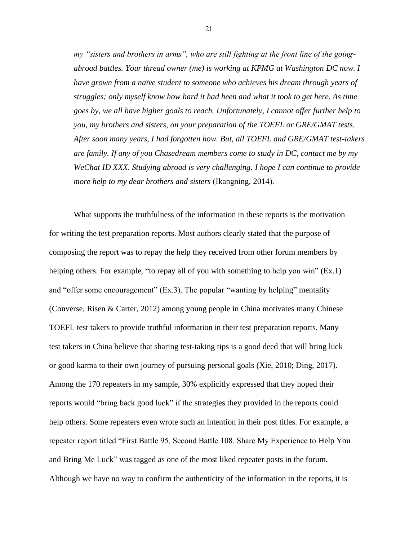*my "sisters and brothers in arms", who are still fighting at the front line of the goingabroad battles. Your thread owner (me) is working at KPMG at Washington DC now. I have grown from a naïve student to someone who achieves his dream through years of struggles; only myself know how hard it had been and what it took to get here. As time goes by, we all have higher goals to reach. Unfortunately, I cannot offer further help to you, my brothers and sisters, on your preparation of the TOEFL or GRE/GMAT tests. After soon many years, I had forgotten how. But, all TOEFL and GRE/GMAT test-takers are family. If any of you Chasedream members come to study in DC, contact me by my WeChat ID XXX. Studying abroad is very challenging. I hope I can continue to provide more help to my dear brothers and sisters* (Ikangning, 2014).

What supports the truthfulness of the information in these reports is the motivation for writing the test preparation reports. Most authors clearly stated that the purpose of composing the report was to repay the help they received from other forum members by helping others. For example, "to repay all of you with something to help you win" (Ex.1) and "offer some encouragement" (Ex.3). The popular "wanting by helping" mentality (Converse, Risen & Carter, 2012) among young people in China motivates many Chinese TOEFL test takers to provide truthful information in their test preparation reports. Many test takers in China believe that sharing test-taking tips is a good deed that will bring luck or good karma to their own journey of pursuing personal goals (Xie, 2010; Ding, 2017). Among the 170 repeaters in my sample, 30% explicitly expressed that they hoped their reports would "bring back good luck" if the strategies they provided in the reports could help others. Some repeaters even wrote such an intention in their post titles. For example, a repeater report titled "First Battle 95, Second Battle 108. Share My Experience to Help You and Bring Me Luck" was tagged as one of the most liked repeater posts in the forum. Although we have no way to confirm the authenticity of the information in the reports, it is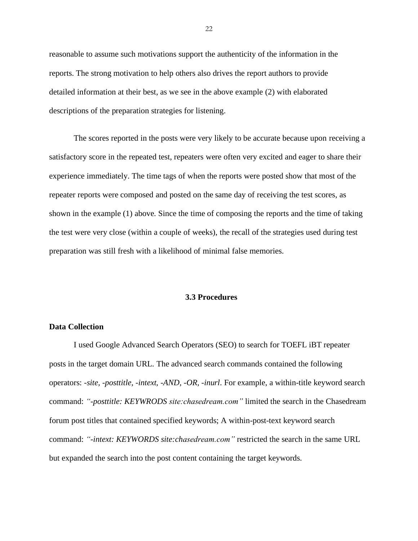reasonable to assume such motivations support the authenticity of the information in the reports. The strong motivation to help others also drives the report authors to provide detailed information at their best, as we see in the above example (2) with elaborated descriptions of the preparation strategies for listening.

The scores reported in the posts were very likely to be accurate because upon receiving a satisfactory score in the repeated test, repeaters were often very excited and eager to share their experience immediately. The time tags of when the reports were posted show that most of the repeater reports were composed and posted on the same day of receiving the test scores, as shown in the example (1) above. Since the time of composing the reports and the time of taking the test were very close (within a couple of weeks), the recall of the strategies used during test preparation was still fresh with a likelihood of minimal false memories.

# **3.3 Procedures**

# <span id="page-26-1"></span><span id="page-26-0"></span>**Data Collection**

I used Google Advanced Search Operators (SEO) to search for TOEFL iBT repeater posts in the target domain URL. The advanced search commands contained the following operators: *-site, -posttitle, -intext, -AND, -OR, -inurl*. For example, a within-title keyword search command: *"-posttitle: KEYWRODS site:chasedream.com"* limited the search in the Chasedream forum post titles that contained specified keywords; A within-post-text keyword search command: *"-intext: KEYWORDS site:chasedream.com"* restricted the search in the same URL but expanded the search into the post content containing the target keywords.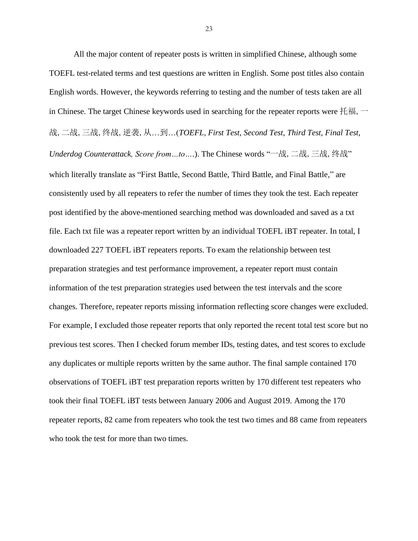All the major content of repeater posts is written in simplified Chinese, although some TOEFL test-related terms and test questions are written in English. Some post titles also contain English words. However, the keywords referring to testing and the number of tests taken are all in Chinese. The target Chinese keywords used in searching for the repeater reports were 托福,  $\rightarrow$ 战,二战,三战,终战,逆袭,从…到…(*TOEFL, First Test, Second Test, Third Test, Final Test, Underdog Counterattack, Score from…to…*.). The Chinese words "一战,二战,三战,终战" which literally translate as "First Battle, Second Battle, Third Battle, and Final Battle," are consistently used by all repeaters to refer the number of times they took the test. Each repeater post identified by the above-mentioned searching method was downloaded and saved as a txt file. Each txt file was a repeater report written by an individual TOEFL iBT repeater. In total, I downloaded 227 TOEFL iBT repeaters reports. To exam the relationship between test preparation strategies and test performance improvement, a repeater report must contain information of the test preparation strategies used between the test intervals and the score changes. Therefore, repeater reports missing information reflecting score changes were excluded. For example, I excluded those repeater reports that only reported the recent total test score but no previous test scores. Then I checked forum member IDs, testing dates, and test scores to exclude any duplicates or multiple reports written by the same author. The final sample contained 170 observations of TOEFL iBT test preparation reports written by 170 different test repeaters who took their final TOEFL iBT tests between January 2006 and August 2019. Among the 170 repeater reports, 82 came from repeaters who took the test two times and 88 came from repeaters who took the test for more than two times.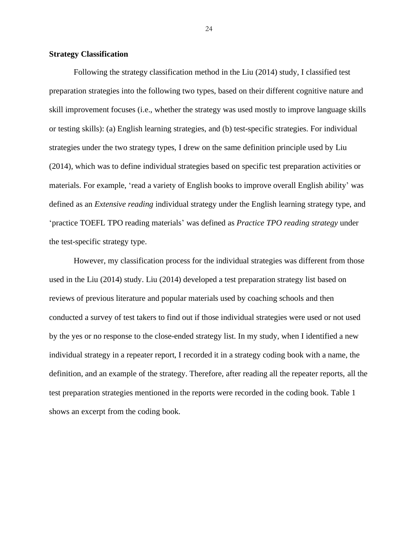# <span id="page-28-0"></span>**Strategy Classification**

Following the strategy classification method in the Liu (2014) study, I classified test preparation strategies into the following two types, based on their different cognitive nature and skill improvement focuses (i.e., whether the strategy was used mostly to improve language skills or testing skills): (a) English learning strategies, and (b) test-specific strategies. For individual strategies under the two strategy types, I drew on the same definition principle used by Liu (2014), which was to define individual strategies based on specific test preparation activities or materials. For example, 'read a variety of English books to improve overall English ability' was defined as an *Extensive reading* individual strategy under the English learning strategy type, and 'practice TOEFL TPO reading materials' was defined as *Practice TPO reading strategy* under the test-specific strategy type.

However, my classification process for the individual strategies was different from those used in the Liu (2014) study. Liu (2014) developed a test preparation strategy list based on reviews of previous literature and popular materials used by coaching schools and then conducted a survey of test takers to find out if those individual strategies were used or not used by the yes or no response to the close-ended strategy list. In my study, when I identified a new individual strategy in a repeater report, I recorded it in a strategy coding book with a name, the definition, and an example of the strategy. Therefore, after reading all the repeater reports, all the test preparation strategies mentioned in the reports were recorded in the coding book. Table 1 shows an excerpt from the coding book.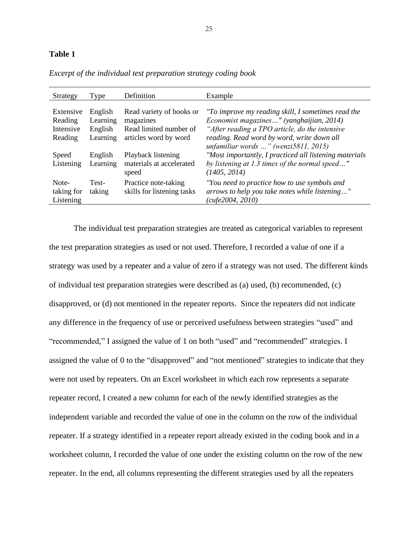### **Table 1**

| Strategy                         | Type            | Definition                                         | Example                                                                                                           |
|----------------------------------|-----------------|----------------------------------------------------|-------------------------------------------------------------------------------------------------------------------|
|                                  |                 |                                                    |                                                                                                                   |
| Extensive                        | English         | Read variety of books or                           | "To improve my reading skill, I sometimes read the                                                                |
| Reading                          | Learning        | magazines                                          | Economist magazines" (yanghaijian, 2014)                                                                          |
| Intensive                        | English         | Read limited number of                             | "After reading a TPO article, do the intensive                                                                    |
| Reading                          | Learning        | articles word by word                              | reading. Read word by word, write down all<br>unfamiliar words " (wenzi $5811, 2015$ )                            |
| Speed                            | English         | Playback listening                                 | "Most importantly, I practiced all listening materials                                                            |
| Listening                        | Learning        | materials at accelerated<br>speed                  | by listening at 1.3 times of the normal speed"<br>(1405, 2014)                                                    |
| Note-<br>taking for<br>Listening | Test-<br>taking | Practice note-taking<br>skills for listening tasks | "You need to practice how to use symbols and<br>arrows to help you take notes while listening"<br>cufe2004, 2010) |

*Excerpt of the individual test preparation strategy coding book* 

The individual test preparation strategies are treated as categorical variables to represent the test preparation strategies as used or not used. Therefore, I recorded a value of one if a strategy was used by a repeater and a value of zero if a strategy was not used. The different kinds of individual test preparation strategies were described as (a) used, (b) recommended, (c) disapproved, or (d) not mentioned in the repeater reports. Since the repeaters did not indicate any difference in the frequency of use or perceived usefulness between strategies "used" and "recommended," I assigned the value of 1 on both "used" and "recommended" strategies. I assigned the value of 0 to the "disapproved" and "not mentioned" strategies to indicate that they were not used by repeaters. On an Excel worksheet in which each row represents a separate repeater record, I created a new column for each of the newly identified strategies as the independent variable and recorded the value of one in the column on the row of the individual repeater. If a strategy identified in a repeater report already existed in the coding book and in a worksheet column, I recorded the value of one under the existing column on the row of the new repeater. In the end, all columns representing the different strategies used by all the repeaters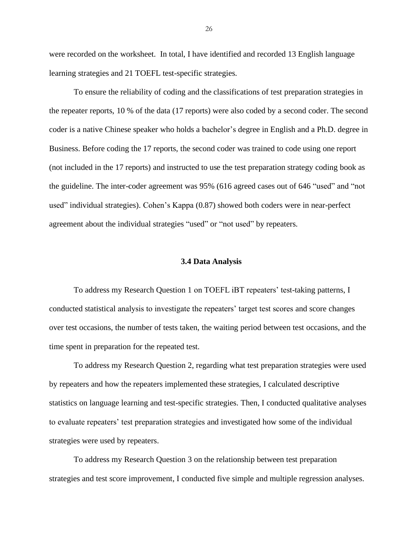were recorded on the worksheet. In total, I have identified and recorded 13 English language learning strategies and 21 TOEFL test-specific strategies.

To ensure the reliability of coding and the classifications of test preparation strategies in the repeater reports, 10 % of the data (17 reports) were also coded by a second coder. The second coder is a native Chinese speaker who holds a bachelor's degree in English and a Ph.D. degree in Business. Before coding the 17 reports, the second coder was trained to code using one report (not included in the 17 reports) and instructed to use the test preparation strategy coding book as the guideline. The inter-coder agreement was 95% (616 agreed cases out of 646 "used" and "not used" individual strategies). Cohen's Kappa (0.87) showed both coders were in near-perfect agreement about the individual strategies "used" or "not used" by repeaters.

#### **3.4 Data Analysis**

<span id="page-30-0"></span>To address my Research Question 1 on TOEFL iBT repeaters' test-taking patterns, I conducted statistical analysis to investigate the repeaters' target test scores and score changes over test occasions, the number of tests taken, the waiting period between test occasions, and the time spent in preparation for the repeated test.

To address my Research Question 2, regarding what test preparation strategies were used by repeaters and how the repeaters implemented these strategies, I calculated descriptive statistics on language learning and test-specific strategies. Then, I conducted qualitative analyses to evaluate repeaters' test preparation strategies and investigated how some of the individual strategies were used by repeaters.

To address my Research Question 3 on the relationship between test preparation strategies and test score improvement, I conducted five simple and multiple regression analyses.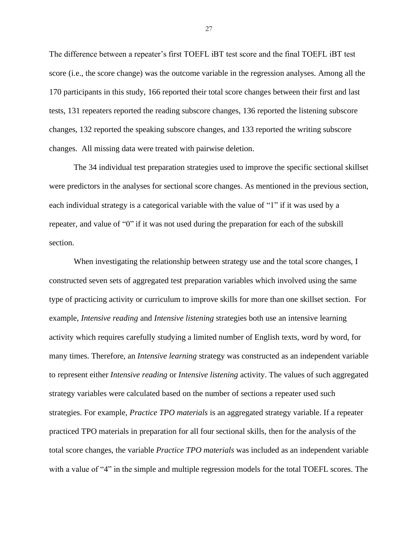The difference between a repeater's first TOEFL iBT test score and the final TOEFL iBT test score (i.e., the score change) was the outcome variable in the regression analyses. Among all the 170 participants in this study, 166 reported their total score changes between their first and last tests, 131 repeaters reported the reading subscore changes, 136 reported the listening subscore changes, 132 reported the speaking subscore changes, and 133 reported the writing subscore changes. All missing data were treated with pairwise deletion.

The 34 individual test preparation strategies used to improve the specific sectional skillset were predictors in the analyses for sectional score changes. As mentioned in the previous section, each individual strategy is a categorical variable with the value of "1" if it was used by a repeater, and value of "0" if it was not used during the preparation for each of the subskill section.

When investigating the relationship between strategy use and the total score changes, I constructed seven sets of aggregated test preparation variables which involved using the same type of practicing activity or curriculum to improve skills for more than one skillset section. For example, *Intensive reading* and *Intensive listening* strategies both use an intensive learning activity which requires carefully studying a limited number of English texts, word by word, for many times. Therefore, an *Intensive learning* strategy was constructed as an independent variable to represent either *Intensive reading* or *Intensive listening* activity. The values of such aggregated strategy variables were calculated based on the number of sections a repeater used such strategies. For example, *Practice TPO materials* is an aggregated strategy variable. If a repeater practiced TPO materials in preparation for all four sectional skills, then for the analysis of the total score changes, the variable *Practice TPO materials* was included as an independent variable with a value of "4" in the simple and multiple regression models for the total TOEFL scores. The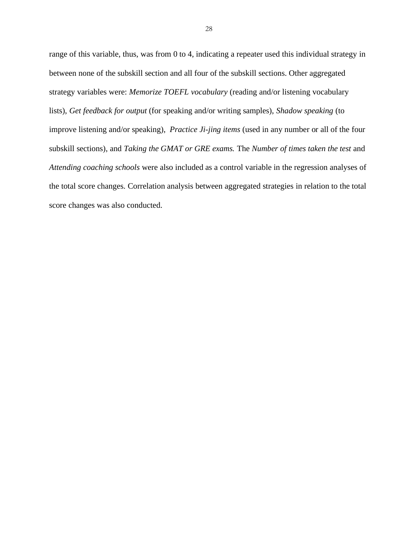range of this variable, thus, was from 0 to 4, indicating a repeater used this individual strategy in between none of the subskill section and all four of the subskill sections. Other aggregated strategy variables were: *Memorize TOEFL vocabulary* (reading and/or listening vocabulary lists), *Get feedback for output* (for speaking and/or writing samples), *Shadow speaking* (to improve listening and/or speaking), *Practice Ji-jing items* (used in any number or all of the four subskill sections), and *Taking the GMAT or GRE exams.* The *Number of times taken the test* and *Attending coaching schools* were also included as a control variable in the regression analyses of the total score changes. Correlation analysis between aggregated strategies in relation to the total score changes was also conducted.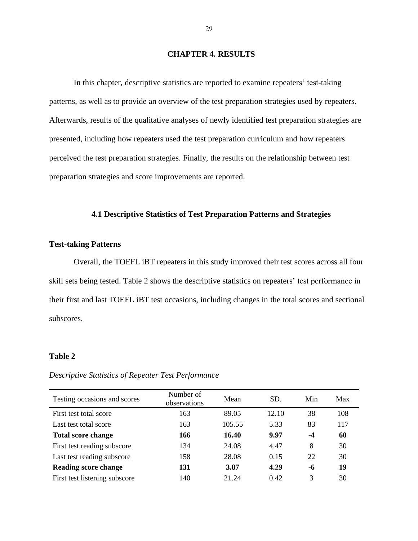# **CHAPTER 4. RESULTS**

<span id="page-33-0"></span>In this chapter, descriptive statistics are reported to examine repeaters' test-taking patterns, as well as to provide an overview of the test preparation strategies used by repeaters. Afterwards, results of the qualitative analyses of newly identified test preparation strategies are presented, including how repeaters used the test preparation curriculum and how repeaters perceived the test preparation strategies. Finally, the results on the relationship between test preparation strategies and score improvements are reported.

# **4.1 Descriptive Statistics of Test Preparation Patterns and Strategies**

# <span id="page-33-2"></span><span id="page-33-1"></span>**Test-taking Patterns**

Overall, the TOEFL iBT repeaters in this study improved their test scores across all four skill sets being tested. Table 2 shows the descriptive statistics on repeaters' test performance in their first and last TOEFL iBT test occasions, including changes in the total scores and sectional subscores.

# **Table 2**

# *Descriptive Statistics of Repeater Test Performance*

| Testing occasions and scores  | Number of<br>observations | Mean   | SD.   | Min  | Max |
|-------------------------------|---------------------------|--------|-------|------|-----|
| First test total score        | 163                       | 89.05  | 12.10 | 38   | 108 |
| Last test total score         | 163                       | 105.55 | 5.33  | 83   | 117 |
| <b>Total score change</b>     | 166                       | 16.40  | 9.97  | $-4$ | 60  |
| First test reading subscore   | 134                       | 24.08  | 4.47  | 8    | 30  |
| Last test reading subscore    | 158                       | 28.08  | 0.15  | 22.  | 30  |
| <b>Reading score change</b>   | 131                       | 3.87   | 4.29  | -6   | 19  |
| First test listening subscore | 140                       | 21.24  | 0.42  | 3    | 30  |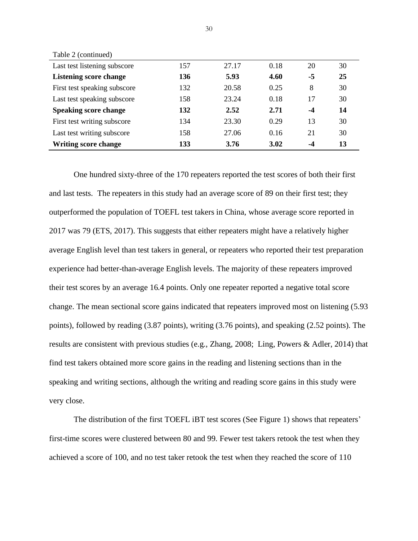| Last test listening subscore  | 157 | 27.17 | 0.18 | 20   | 30 |
|-------------------------------|-----|-------|------|------|----|
| <b>Listening score change</b> | 136 | 5.93  | 4.60 | -5   | 25 |
| First test speaking subscore  | 132 | 20.58 | 0.25 | 8    | 30 |
| Last test speaking subscore   | 158 | 23.24 | 0.18 | 17   | 30 |
| <b>Speaking score change</b>  | 132 | 2.52  | 2.71 | $-4$ | 14 |
| First test writing subscore   | 134 | 23.30 | 0.29 | 13   | 30 |
| Last test writing subscore    | 158 | 27.06 | 0.16 | 21   | 30 |
| <b>Writing score change</b>   | 133 | 3.76  | 3.02 | -4   | 13 |

Table 2 (continued)

One hundred sixty-three of the 170 repeaters reported the test scores of both their first and last tests. The repeaters in this study had an average score of 89 on their first test; they outperformed the population of TOEFL test takers in China, whose average score reported in 2017 was 79 (ETS, 2017). This suggests that either repeaters might have a relatively higher average English level than test takers in general, or repeaters who reported their test preparation experience had better-than-average English levels. The majority of these repeaters improved their test scores by an average 16.4 points. Only one repeater reported a negative total score change. The mean sectional score gains indicated that repeaters improved most on listening (5.93 points), followed by reading (3.87 points), writing (3.76 points), and speaking (2.52 points). The results are consistent with previous studies (e.g., Zhang, 2008; Ling, Powers & Adler, 2014) that find test takers obtained more score gains in the reading and listening sections than in the speaking and writing sections, although the writing and reading score gains in this study were very close.

The distribution of the first TOEFL iBT test scores (See Figure 1) shows that repeaters' first-time scores were clustered between 80 and 99. Fewer test takers retook the test when they achieved a score of 100, and no test taker retook the test when they reached the score of 110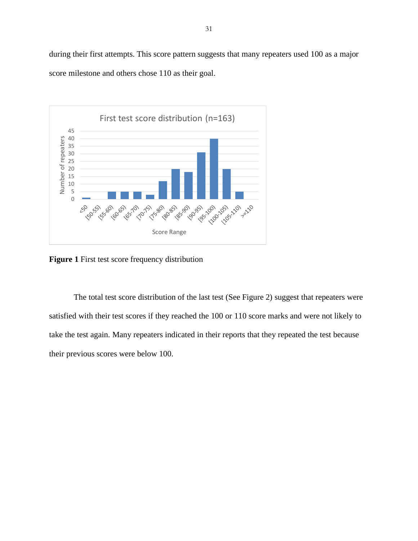during their first attempts. This score pattern suggests that many repeaters used 100 as a major score milestone and others chose 110 as their goal.



**Figure 1** First test score frequency distribution

The total test score distribution of the last test (See Figure 2) suggest that repeaters were satisfied with their test scores if they reached the 100 or 110 score marks and were not likely to take the test again. Many repeaters indicated in their reports that they repeated the test because their previous scores were below 100.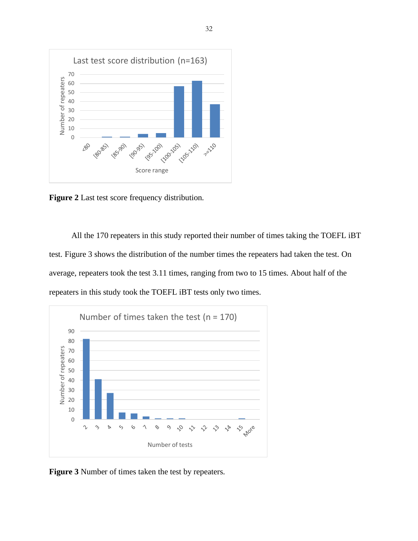

**Figure 2** Last test score frequency distribution.

All the 170 repeaters in this study reported their number of times taking the TOEFL iBT test. Figure 3 shows the distribution of the number times the repeaters had taken the test. On average, repeaters took the test 3.11 times, ranging from two to 15 times. About half of the repeaters in this study took the TOEFL iBT tests only two times.



**Figure 3** Number of times taken the test by repeaters.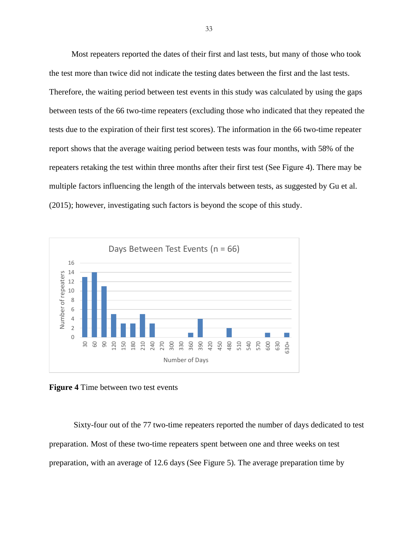Most repeaters reported the dates of their first and last tests, but many of those who took the test more than twice did not indicate the testing dates between the first and the last tests. Therefore, the waiting period between test events in this study was calculated by using the gaps between tests of the 66 two-time repeaters (excluding those who indicated that they repeated the tests due to the expiration of their first test scores). The information in the 66 two-time repeater report shows that the average waiting period between tests was four months, with 58% of the repeaters retaking the test within three months after their first test (See Figure 4). There may be multiple factors influencing the length of the intervals between tests, as suggested by Gu et al. (2015); however, investigating such factors is beyond the scope of this study.



**Figure 4** Time between two test events

Sixty-four out of the 77 two-time repeaters reported the number of days dedicated to test preparation. Most of these two-time repeaters spent between one and three weeks on test preparation, with an average of 12.6 days (See Figure 5). The average preparation time by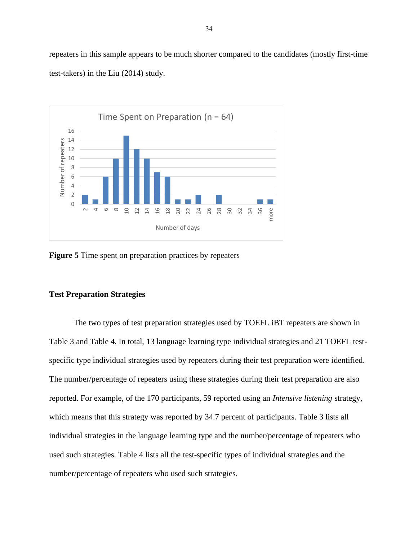repeaters in this sample appears to be much shorter compared to the candidates (mostly first-time test-takers) in the Liu (2014) study.



**Figure 5** Time spent on preparation practices by repeaters

# <span id="page-38-0"></span>**Test Preparation Strategies**

The two types of test preparation strategies used by TOEFL iBT repeaters are shown in Table 3 and Table 4. In total, 13 language learning type individual strategies and 21 TOEFL testspecific type individual strategies used by repeaters during their test preparation were identified. The number/percentage of repeaters using these strategies during their test preparation are also reported. For example, of the 170 participants, 59 reported using an *Intensive listening* strategy, which means that this strategy was reported by 34.7 percent of participants. Table 3 lists all individual strategies in the language learning type and the number/percentage of repeaters who used such strategies. Table 4 lists all the test-specific types of individual strategies and the number/percentage of repeaters who used such strategies.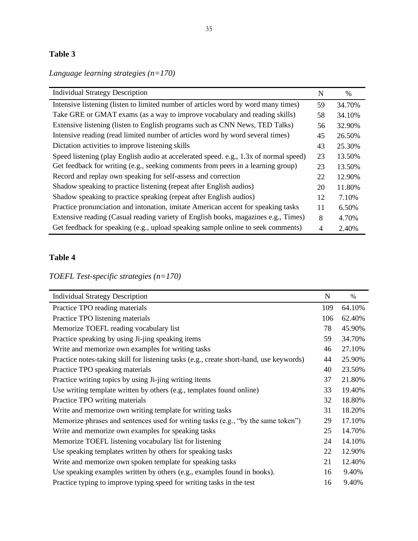# **Table 3**

*Language learning strategies (n=170)*

| <b>Individual Strategy Description</b>                                                | N  | $\%$   |
|---------------------------------------------------------------------------------------|----|--------|
| Intensive listening (listen to limited number of articles word by word many times)    | 59 | 34.70% |
| Take GRE or GMAT exams (as a way to improve vocabulary and reading skills)            | 58 | 34.10% |
| Extensive listening (listen to English programs such as CNN News, TED Talks)          | 56 | 32.90% |
| Intensive reading (read limited number of articles word by word several times)        | 45 | 26.50% |
| Dictation activities to improve listening skills                                      | 43 | 25.30% |
| Speed listening (play English audio at accelerated speed. e.g., 1.3x of normal speed) | 23 | 13.50% |
| Get feedback for writing (e.g., seeking comments from peers in a learning group)      | 23 | 13.50% |
| Record and replay own speaking for self-assess and correction                         | 22 | 12.90% |
| Shadow speaking to practice listening (repeat after English audios)                   | 20 | 11.80% |
| Shadow speaking to practice speaking (repeat after English audios)                    | 12 | 7.10%  |
| Practice pronunciation and intonation, imitate American accent for speaking tasks     | 11 | 6.50%  |
| Extensive reading (Casual reading variety of English books, magazines e.g., Times)    | 8  | 4.70%  |
| Get feedback for speaking (e.g., upload speaking sample online to seek comments)      | 4  | 2.40%  |

# **Table 4**

*TOEFL Test-specific strategies (n=170)*

| <b>Individual Strategy Description</b>                                                  | N   | %      |
|-----------------------------------------------------------------------------------------|-----|--------|
| Practice TPO reading materials                                                          | 109 | 64.10% |
| Practice TPO listening materials                                                        | 106 | 62.40% |
| Memorize TOEFL reading vocabulary list                                                  | 78  | 45.90% |
| Practice speaking by using Ji-jing speaking items                                       | 59  | 34.70% |
| Write and memorize own examples for writing tasks                                       | 46  | 27.10% |
| Practice notes-taking skill for listening tasks (e.g., create short-hand, use keywords) | 44  | 25.90% |
| Practice TPO speaking materials                                                         | 40  | 23.50% |
| Practice writing topics by using Ji-jing writing items                                  | 37  | 21.80% |
| Use writing template written by others (e.g., templates found online)                   | 33  | 19.40% |
| Practice TPO writing materials                                                          | 32  | 18.80% |
| Write and memorize own writing template for writing tasks                               | 31  | 18.20% |
| Memorize phrases and sentences used for writing tasks (e.g., "by the same token")       | 29  | 17.10% |
| Write and memorize own examples for speaking tasks                                      | 25  | 14.70% |
| Memorize TOEFL listening vocabulary list for listening                                  | 24  | 14.10% |
| Use speaking templates written by others for speaking tasks                             | 22  | 12.90% |
| Write and memorize own spoken template for speaking tasks                               | 21  | 12.40% |
| Use speaking examples written by others (e.g., examples found in books).                | 16  | 9.40%  |
| Practice typing to improve typing speed for writing tasks in the test                   | 16  | 9.40%  |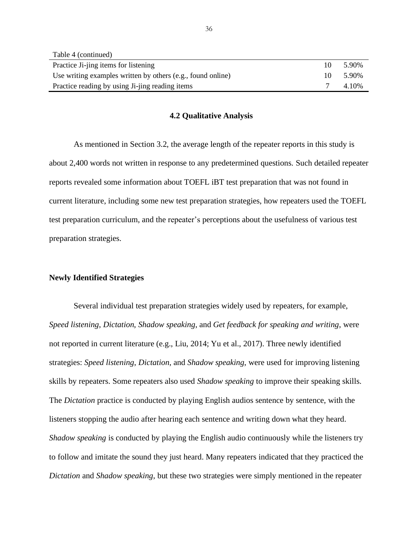| Table 4 (continued)                                         |     |       |
|-------------------------------------------------------------|-----|-------|
| Practice Ji-jing items for listening                        | 10  | 5.90% |
| Use writing examples written by others (e.g., found online) | 10. | 5.90% |
| Practice reading by using Ji-jing reading items             |     | 4.10% |

#### **4.2 Qualitative Analysis**

<span id="page-40-0"></span>As mentioned in Section 3.2, the average length of the repeater reports in this study is about 2,400 words not written in response to any predetermined questions. Such detailed repeater reports revealed some information about TOEFL iBT test preparation that was not found in current literature, including some new test preparation strategies, how repeaters used the TOEFL test preparation curriculum, and the repeater's perceptions about the usefulness of various test preparation strategies.

#### <span id="page-40-1"></span>**Newly Identified Strategies**

Several individual test preparation strategies widely used by repeaters, for example, *Speed listening*, *Dictation*, *Shadow speaking*, and *Get feedback for speaking and writing*, were not reported in current literature (e.g., Liu, 2014; Yu et al., 2017). Three newly identified strategies: *Speed listening*, *Dictation*, and *Shadow speaking*, were used for improving listening skills by repeaters. Some repeaters also used *Shadow speaking* to improve their speaking skills. The *Dictation* practice is conducted by playing English audios sentence by sentence, with the listeners stopping the audio after hearing each sentence and writing down what they heard. *Shadow speaking* is conducted by playing the English audio continuously while the listeners try to follow and imitate the sound they just heard. Many repeaters indicated that they practiced the *Dictation* and *Shadow speaking*, but these two strategies were simply mentioned in the repeater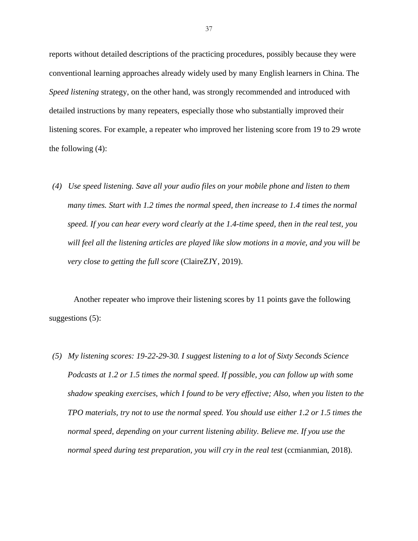reports without detailed descriptions of the practicing procedures, possibly because they were conventional learning approaches already widely used by many English learners in China. The *Speed listening* strategy, on the other hand, was strongly recommended and introduced with detailed instructions by many repeaters, especially those who substantially improved their listening scores. For example, a repeater who improved her listening score from 19 to 29 wrote the following (4):

*(4) Use speed listening. Save all your audio files on your mobile phone and listen to them many times. Start with 1.2 times the normal speed, then increase to 1.4 times the normal speed. If you can hear every word clearly at the 1.4-time speed, then in the real test, you will feel all the listening articles are played like slow motions in a movie, and you will be very close to getting the full score* (ClaireZJY, 2019).

Another repeater who improve their listening scores by 11 points gave the following suggestions (5):

*(5) My listening scores: 19-22-29-30. I suggest listening to a lot of Sixty Seconds Science Podcasts at 1.2 or 1.5 times the normal speed. If possible, you can follow up with some shadow speaking exercises, which I found to be very effective; Also, when you listen to the TPO materials, try not to use the normal speed. You should use either 1.2 or 1.5 times the normal speed, depending on your current listening ability. Believe me. If you use the normal speed during test preparation, you will cry in the real test* (ccmianmian, 2018).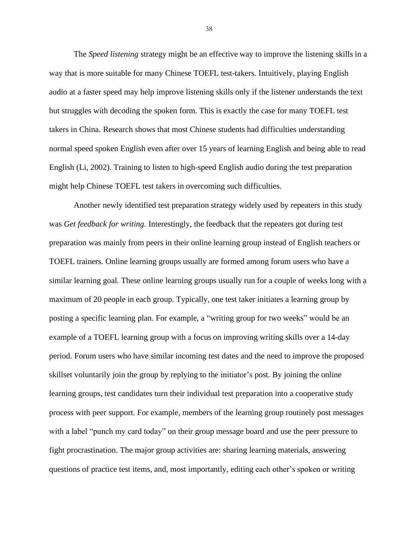The *Speed listening* strategy might be an effective way to improve the listening skills in a way that is more suitable for many Chinese TOEFL test-takers. Intuitively, playing English audio at a faster speed may help improve listening skills only if the listener understands the text but struggles with decoding the spoken form. This is exactly the case for many TOEFL test takers in China. Research shows that most Chinese students had difficulties understanding normal speed spoken English even after over 15 years of learning English and being able to read English (Li, 2002). Training to listen to high-speed English audio during the test preparation might help Chinese TOEFL test takers in overcoming such difficulties.

Another newly identified test preparation strategy widely used by repeaters in this study was *Get feedback for writing*. Interestingly, the feedback that the repeaters got during test preparation was mainly from peers in their online learning group instead of English teachers or TOEFL trainers. Online learning groups usually are formed among forum users who have a similar learning goal. These online learning groups usually run for a couple of weeks long with a maximum of 20 people in each group. Typically, one test taker initiates a learning group by posting a specific learning plan. For example, a "writing group for two weeks" would be an example of a TOEFL learning group with a focus on improving writing skills over a 14-day period. Forum users who have similar incoming test dates and the need to improve the proposed skillset voluntarily join the group by replying to the initiator's post. By joining the online learning groups, test candidates turn their individual test preparation into a cooperative study process with peer support. For example, members of the learning group routinely post messages with a label "punch my card today" on their group message board and use the peer pressure to fight procrastination. The major group activities are: sharing learning materials, answering questions of practice test items, and, most importantly, editing each other's spoken or writing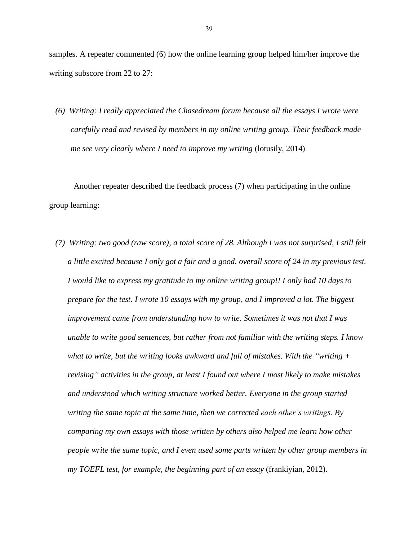samples. A repeater commented (6) how the online learning group helped him/her improve the writing subscore from 22 to 27:

*(6) Writing: I really appreciated the Chasedream forum because all the essays I wrote were carefully read and revised by members in my online writing group. Their feedback made me see very clearly where I need to improve my writing* (lotusily, 2014)

Another repeater described the feedback process (7) when participating in the online group learning:

*(7) Writing: two good (raw score), a total score of 28. Although I was not surprised, I still felt a little excited because I only got a fair and a good, overall score of 24 in my previous test. I would like to express my gratitude to my online writing group!! I only had 10 days to prepare for the test. I wrote 10 essays with my group, and I improved a lot. The biggest improvement came from understanding how to write. Sometimes it was not that I was unable to write good sentences, but rather from not familiar with the writing steps. I know what to write, but the writing looks awkward and full of mistakes. With the "writing + revising" activities in the group, at least I found out where I most likely to make mistakes and understood which writing structure worked better. Everyone in the group started writing the same topic at the same time, then we corrected each other's writings. By comparing my own essays with those written by others also helped me learn how other people write the same topic, and I even used some parts written by other group members in my TOEFL test, for example, the beginning part of an essay* (frankiyian, 2012).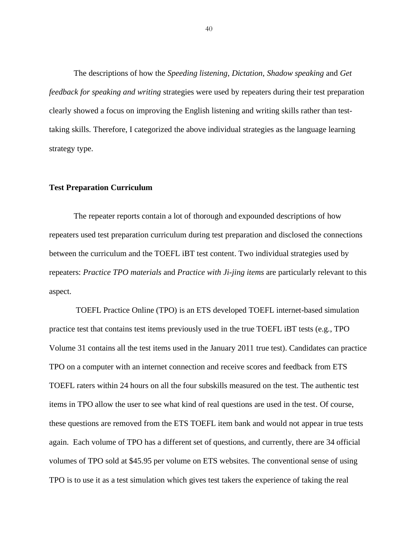The descriptions of how the *Speeding listening*, *Dictation*, *Shadow speaking* and *Get feedback for speaking and writing* strategies were used by repeaters during their test preparation clearly showed a focus on improving the English listening and writing skills rather than testtaking skills. Therefore, I categorized the above individual strategies as the language learning strategy type.

# <span id="page-44-0"></span>**Test Preparation Curriculum**

The repeater reports contain a lot of thorough and expounded descriptions of how repeaters used test preparation curriculum during test preparation and disclosed the connections between the curriculum and the TOEFL iBT test content. Two individual strategies used by repeaters: *Practice TPO materials* and *Practice with Ji-jing items* are particularly relevant to this aspect.

TOEFL Practice Online (TPO) is an ETS developed TOEFL internet-based simulation practice test that contains test items previously used in the true TOEFL iBT tests (e.g., TPO Volume 31 contains all the test items used in the January 2011 true test). Candidates can practice TPO on a computer with an internet connection and receive scores and feedback from ETS TOEFL raters within 24 hours on all the four subskills measured on the test. The authentic test items in TPO allow the user to see what kind of real questions are used in the test. Of course, these questions are removed from the ETS TOEFL item bank and would not appear in true tests again. Each volume of TPO has a different set of questions, and currently, there are 34 official volumes of TPO sold at \$45.95 per volume on ETS websites. The conventional sense of using TPO is to use it as a test simulation which gives test takers the experience of taking the real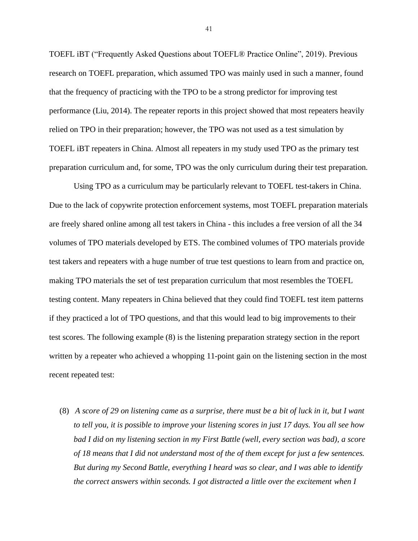TOEFL iBT ("Frequently Asked Questions about TOEFL® Practice Online", 2019). Previous research on TOEFL preparation, which assumed TPO was mainly used in such a manner, found that the frequency of practicing with the TPO to be a strong predictor for improving test performance (Liu, 2014). The repeater reports in this project showed that most repeaters heavily relied on TPO in their preparation; however, the TPO was not used as a test simulation by TOEFL iBT repeaters in China. Almost all repeaters in my study used TPO as the primary test preparation curriculum and, for some, TPO was the only curriculum during their test preparation.

Using TPO as a curriculum may be particularly relevant to TOEFL test-takers in China. Due to the lack of copywrite protection enforcement systems, most TOEFL preparation materials are freely shared online among all test takers in China - this includes a free version of all the 34 volumes of TPO materials developed by ETS. The combined volumes of TPO materials provide test takers and repeaters with a huge number of true test questions to learn from and practice on, making TPO materials the set of test preparation curriculum that most resembles the TOEFL testing content. Many repeaters in China believed that they could find TOEFL test item patterns if they practiced a lot of TPO questions, and that this would lead to big improvements to their test scores. The following example (8) is the listening preparation strategy section in the report written by a repeater who achieved a whopping 11-point gain on the listening section in the most recent repeated test:

 (8) *A score of 29 on listening came as a surprise, there must be a bit of luck in it, but I want to tell you, it is possible to improve your listening scores in just 17 days. You all see how bad I did on my listening section in my First Battle (well, every section was bad), a score of 18 means that I did not understand most of the of them except for just a few sentences. But during my Second Battle, everything I heard was so clear, and I was able to identify the correct answers within seconds. I got distracted a little over the excitement when I*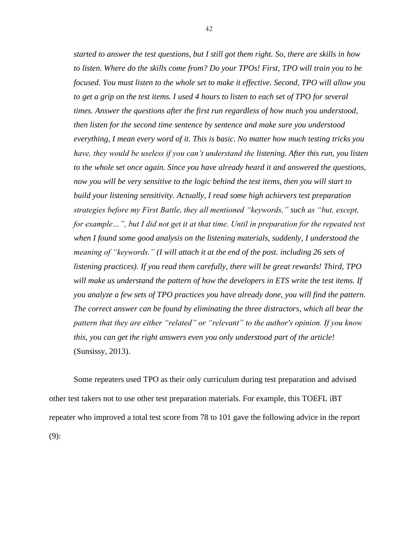*started to answer the test questions, but I still got them right. So, there are skills in how to listen. Where do the skills come from? Do your TPOs! First, TPO will train you to be focused. You must listen to the whole set to make it effective. Second, TPO will allow you to get a grip on the test items. I used 4 hours to listen to each set of TPO for several times. Answer the questions after the first run regardless of how much you understood, then listen for the second time sentence by sentence and make sure you understood everything, I mean every word of it. This is basic. No matter how much testing tricks you have, they would be useless if you can't understand the listening. After this run, you listen to the whole set once again. Since you have already heard it and answered the questions, now you will be very sensitive to the logic behind the test items, then you will start to build your listening sensitivity. Actually, I read some high achievers test preparation strategies before my First Battle, they all mentioned "keywords," such as "but, except, for example…", but I did not get it at that time. Until in preparation for the repeated test when I found some good analysis on the listening materials, suddenly, I understood the meaning of "keywords." (I will attach it at the end of the post. including 26 sets of listening practices). If you read them carefully, there will be great rewards! Third, TPO will make us understand the pattern of how the developers in ETS write the test items. If you analyze a few sets of TPO practices you have already done, you will find the pattern. The correct answer can be found by eliminating the three distractors, which all bear the pattern that they are either "related" or "relevant" to the author's opinion. If you know this, you can get the right answers even you only understood part of the article!*  (Sunsissy, 2013).

Some repeaters used TPO as their only curriculum during test preparation and advised other test takers not to use other test preparation materials. For example, this TOEFL iBT repeater who improved a total test score from 78 to 101 gave the following advice in the report (9):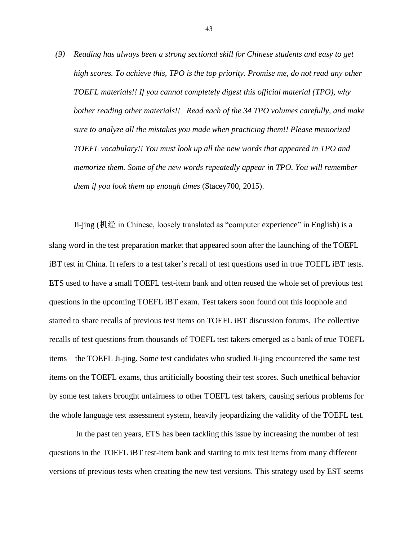*(9) Reading has always been a strong sectional skill for Chinese students and easy to get high scores. To achieve this, TPO is the top priority. Promise me, do not read any other TOEFL materials!! If you cannot completely digest this official material (TPO), why bother reading other materials!! Read each of the 34 TPO volumes carefully, and make sure to analyze all the mistakes you made when practicing them!! Please memorized TOEFL vocabulary!! You must look up all the new words that appeared in TPO and memorize them. Some of the new words repeatedly appear in TPO. You will remember them if you look them up enough times* (Stacey700, 2015).

Ji-jing (机经 in Chinese, loosely translated as "computer experience" in English) is a slang word in the test preparation market that appeared soon after the launching of the TOEFL iBT test in China. It refers to a test taker's recall of test questions used in true TOEFL iBT tests. ETS used to have a small TOEFL test-item bank and often reused the whole set of previous test questions in the upcoming TOEFL iBT exam. Test takers soon found out this loophole and started to share recalls of previous test items on TOEFL iBT discussion forums. The collective recalls of test questions from thousands of TOEFL test takers emerged as a bank of true TOEFL items – the TOEFL Ji-jing. Some test candidates who studied Ji-jing encountered the same test items on the TOEFL exams, thus artificially boosting their test scores. Such unethical behavior by some test takers brought unfairness to other TOEFL test takers, causing serious problems for the whole language test assessment system, heavily jeopardizing the validity of the TOEFL test.

In the past ten years, ETS has been tackling this issue by increasing the number of test questions in the TOEFL iBT test-item bank and starting to mix test items from many different versions of previous tests when creating the new test versions. This strategy used by EST seems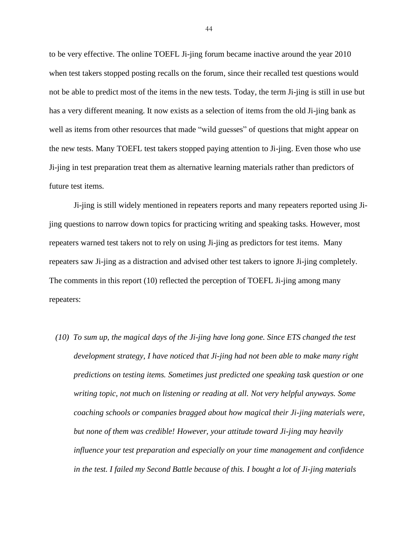to be very effective. The online TOEFL Ji-jing forum became inactive around the year 2010 when test takers stopped posting recalls on the forum, since their recalled test questions would not be able to predict most of the items in the new tests. Today, the term Ji-jing is still in use but has a very different meaning. It now exists as a selection of items from the old Ji-jing bank as well as items from other resources that made "wild guesses" of questions that might appear on the new tests. Many TOEFL test takers stopped paying attention to Ji-jing. Even those who use Ji-jing in test preparation treat them as alternative learning materials rather than predictors of future test items.

Ji-jing is still widely mentioned in repeaters reports and many repeaters reported using Jijing questions to narrow down topics for practicing writing and speaking tasks. However, most repeaters warned test takers not to rely on using Ji-jing as predictors for test items. Many repeaters saw Ji-jing as a distraction and advised other test takers to ignore Ji-jing completely. The comments in this report (10) reflected the perception of TOEFL Ji-jing among many repeaters:

*(10) To sum up, the magical days of the Ji-jing have long gone. Since ETS changed the test development strategy, I have noticed that Ji-jing had not been able to make many right predictions on testing items. Sometimes just predicted one speaking task question or one writing topic, not much on listening or reading at all. Not very helpful anyways. Some coaching schools or companies bragged about how magical their Ji-jing materials were, but none of them was credible! However, your attitude toward Ji-jing may heavily influence your test preparation and especially on your time management and confidence in the test. I failed my Second Battle because of this. I bought a lot of Ji-jing materials*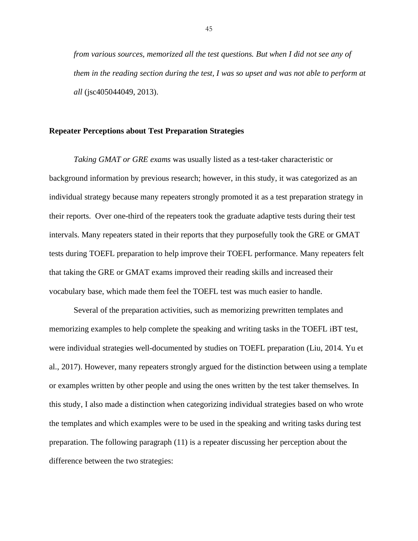*from various sources, memorized all the test questions. But when I did not see any of them in the reading section during the test, I was so upset and was not able to perform at all* (jsc405044049, 2013).

## <span id="page-49-0"></span>**Repeater Perceptions about Test Preparation Strategies**

*Taking GMAT or GRE exams* was usually listed as a test-taker characteristic or background information by previous research; however, in this study, it was categorized as an individual strategy because many repeaters strongly promoted it as a test preparation strategy in their reports. Over one-third of the repeaters took the graduate adaptive tests during their test intervals. Many repeaters stated in their reports that they purposefully took the GRE or GMAT tests during TOEFL preparation to help improve their TOEFL performance. Many repeaters felt that taking the GRE or GMAT exams improved their reading skills and increased their vocabulary base, which made them feel the TOEFL test was much easier to handle.

Several of the preparation activities, such as memorizing prewritten templates and memorizing examples to help complete the speaking and writing tasks in the TOEFL iBT test, were individual strategies well-documented by studies on TOEFL preparation (Liu, 2014. Yu et al., 2017). However, many repeaters strongly argued for the distinction between using a template or examples written by other people and using the ones written by the test taker themselves. In this study, I also made a distinction when categorizing individual strategies based on who wrote the templates and which examples were to be used in the speaking and writing tasks during test preparation. The following paragraph (11) is a repeater discussing her perception about the difference between the two strategies: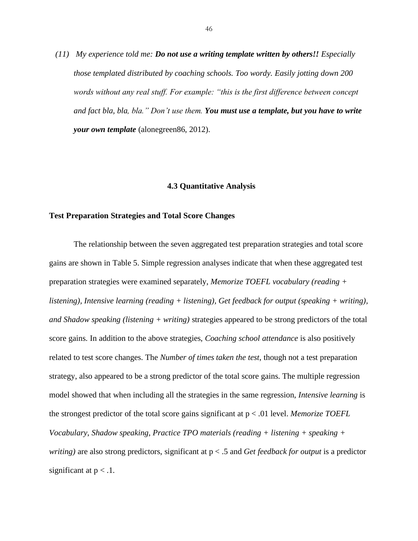*(11) My experience told me: Do not use a writing template written by others!! Especially those templated distributed by coaching schools. Too wordy. Easily jotting down 200 words without any real stuff. For example: "this is the first difference between concept and fact bla, bla, bla." Don't use them. You must use a template, but you have to write your own template* (alonegreen86, 2012).

#### **4.3 Quantitative Analysis**

### <span id="page-50-1"></span><span id="page-50-0"></span>**Test Preparation Strategies and Total Score Changes**

The relationship between the seven aggregated test preparation strategies and total score gains are shown in Table 5. Simple regression analyses indicate that when these aggregated test preparation strategies were examined separately, *Memorize TOEFL vocabulary (reading + listening), Intensive learning (reading + listening), Get feedback for output (speaking + writing), and Shadow speaking (listening + writing)* strategies appeared to be strong predictors of the total score gains. In addition to the above strategies, *Coaching school attendance* is also positively related to test score changes. The *Number of times taken the test*, though not a test preparation strategy, also appeared to be a strong predictor of the total score gains. The multiple regression model showed that when including all the strategies in the same regression, *Intensive learning* is the strongest predictor of the total score gains significant at p < .01 level. *Memorize TOEFL Vocabulary*, *Shadow speaking, Practice TPO materials (reading + listening + speaking + writing*) are also strong predictors, significant at  $p < .5$  and *Get feedback for output* is a predictor significant at  $p < 0.1$ .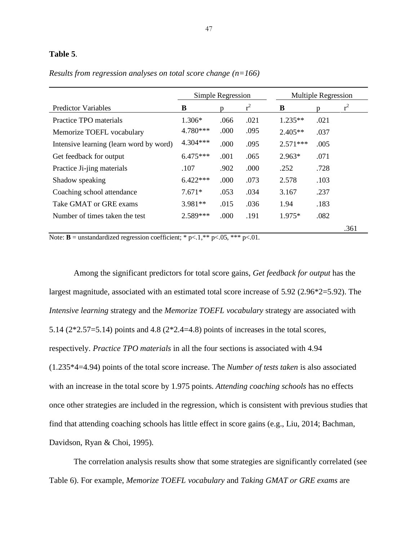### **Table 5**.

|                                                                                                  |                                                                                                                                                                                                                                              | Simple Regression                                     |            |            | <b>Multiple Regression</b> |       |  |
|--------------------------------------------------------------------------------------------------|----------------------------------------------------------------------------------------------------------------------------------------------------------------------------------------------------------------------------------------------|-------------------------------------------------------|------------|------------|----------------------------|-------|--|
| <b>Predictor Variables</b>                                                                       | B                                                                                                                                                                                                                                            | p                                                     | $r^2$      | B          | n                          | $r^2$ |  |
| Practice TPO materials                                                                           | 1.306*                                                                                                                                                                                                                                       | .066                                                  | .021       | $1.235**$  | .021                       |       |  |
| Memorize TOEFL vocabulary                                                                        | 4.780***                                                                                                                                                                                                                                     | .000                                                  | .095       | $2.405**$  | .037                       |       |  |
| Intensive learning (learn word by word)                                                          | 4.304***                                                                                                                                                                                                                                     | .000                                                  | .095       | $2.571***$ | .005                       |       |  |
| Get feedback for output                                                                          | $6.475***$                                                                                                                                                                                                                                   | .001                                                  | .065       | $2.963*$   | .071                       |       |  |
| Practice Ji-jing materials                                                                       | .107                                                                                                                                                                                                                                         | .902                                                  | .000       | .252       | .728                       |       |  |
| Shadow speaking                                                                                  | $6.422***$                                                                                                                                                                                                                                   | .000                                                  | .073       | 2.578      | .103                       |       |  |
| Coaching school attendance                                                                       | $7.671*$                                                                                                                                                                                                                                     | .053                                                  | .034       | 3.167      | .237                       |       |  |
| Take GMAT or GRE exams                                                                           | $3.981**$                                                                                                                                                                                                                                    | .015                                                  | .036       | 1.94       | .183                       |       |  |
| Number of times taken the test                                                                   | 2.589***                                                                                                                                                                                                                                     | .000                                                  | .191       | 1.975*     | .082                       |       |  |
| $\sim$ $\sim$<br>$\mathbf{r}$ $\mathbf{r}$<br>$\sim$ $\sim$ $\sim$ $\sim$ $\sim$<br>$\mathbf{r}$ | and stands.<br>and the state of the state of the state of the state of the state of the state of the state of the state of the state of the state of the state of the state of the state of the state of the state of the state of the state | $\bigcap_{i=1}^n$ $\bigcap_{i=1}^n$ $\bigcap_{i=1}^n$ | $^{\circ}$ |            |                            | .361  |  |

*Results from regression analyses on total score change (n=166)*

Note: **B** = unstandardized regression coefficient; \* p<.1,\*\* p<.05, \*\*\* p<.01.

Among the significant predictors for total score gains, *Get feedback for output* has the largest magnitude, associated with an estimated total score increase of 5.92 (2.96\*2=5.92). The *Intensive learning* strategy and the *Memorize TOEFL vocabulary* strategy are associated with 5.14 (2\*2.57=5.14) points and 4.8 (2\*2.4=4.8) points of increases in the total scores, respectively. *Practice TPO materials* in all the four sections is associated with 4.94 (1.235\*4=4.94) points of the total score increase. The *Number of tests taken* is also associated with an increase in the total score by 1.975 points. *Attending coaching schools* has no effects once other strategies are included in the regression, which is consistent with previous studies that find that attending coaching schools has little effect in score gains (e.g., Liu, 2014; Bachman, Davidson, Ryan & Choi, 1995).

The correlation analysis results show that some strategies are significantly correlated (see Table 6). For example, *Memorize TOEFL vocabulary* and *Taking GMAT or GRE exams* are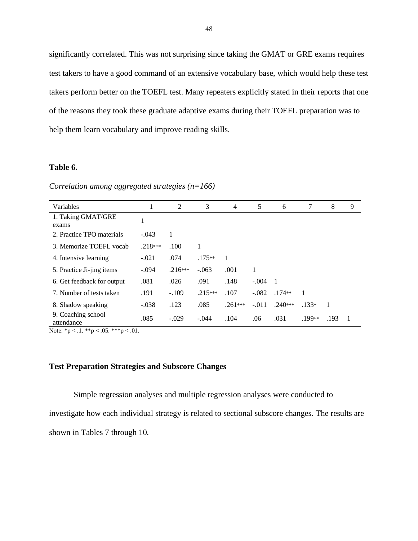significantly correlated. This was not surprising since taking the GMAT or GRE exams requires test takers to have a good command of an extensive vocabulary base, which would help these test takers perform better on the TOEFL test. Many repeaters explicitly stated in their reports that one of the reasons they took these graduate adaptive exams during their TOEFL preparation was to help them learn vocabulary and improve reading skills.

# **Table 6.**

*Correlation among aggregated strategies (n=166)*

| Variables                        | 1         | 2         | 3         | $\overline{4}$ | 5       | 6         | 7              | 8    | 9 |
|----------------------------------|-----------|-----------|-----------|----------------|---------|-----------|----------------|------|---|
| 1. Taking GMAT/GRE<br>exams      |           |           |           |                |         |           |                |      |   |
| 2. Practice TPO materials        | $-.043$   |           |           |                |         |           |                |      |   |
| 3. Memorize TOEFL vocab          | $.218***$ | .100      |           |                |         |           |                |      |   |
| 4. Intensive learning            | $-.021$   | .074      | $.175**$  | 1              |         |           |                |      |   |
| 5. Practice Ji-jing items        | $-.094$   | $.216***$ | $-.063$   | .001           |         |           |                |      |   |
| 6. Get feedback for output       | .081      | .026      | .091      | .148           | $-.004$ | -1        |                |      |   |
| 7. Number of tests taken         | .191      | $-.109$   | $.215***$ | .107           | $-.082$ | $.174**$  | $\overline{1}$ |      |   |
| 8. Shadow speaking               | $-.038$   | .123      | .085      | $.261***$      | $-.011$ | $.240***$ | $.133*$        |      |   |
| 9. Coaching school<br>attendance | .085      | $-.029$   | $-.044$   | .104           | .06     | .031      | .199**         | .193 |   |

Note:  $np < 0.1$ . \*\*p  $< 0.05$ . \*\*\*p  $< 0.01$ .

# <span id="page-52-0"></span>**Test Preparation Strategies and Subscore Changes**

Simple regression analyses and multiple regression analyses were conducted to

investigate how each individual strategy is related to sectional subscore changes. The results are

shown in Tables 7 through 10.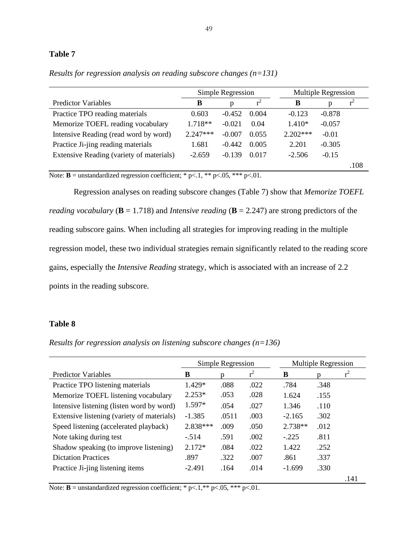# **Table 7**

|                                          | Simple Regression |          |       | <b>Multiple Regression</b> |          |      |
|------------------------------------------|-------------------|----------|-------|----------------------------|----------|------|
| <b>Predictor Variables</b>               | В                 | р        |       | B                          | р        |      |
| Practice TPO reading materials           | 0.603             | $-0.452$ | 0.004 | $-0.123$                   | $-0.878$ |      |
| Memorize TOEFL reading vocabulary        | $1.718**$         | $-0.021$ | 0.04  | $1.410*$                   | $-0.057$ |      |
| Intensive Reading (read word by word)    | $2.247***$        | $-0.007$ | 0.055 | $2.202***$                 | $-0.01$  |      |
| Practice Ji-jing reading materials       | 1.681             | $-0.442$ | 0.005 | 2.201                      | $-0.305$ |      |
| Extensive Reading (variety of materials) | $-2.659$          | $-0.139$ | 0.017 | $-2.506$                   | $-0.15$  |      |
|                                          |                   |          |       |                            |          | .108 |

*Results for regression analysis on reading subscore changes (n=131)*

Note: **B** = unstandardized regression coefficient; \* p<.1, \*\* p<.05, \*\*\* p<.01.

Regression analyses on reading subscore changes (Table 7) show that *Memorize TOEFL reading vocabulary* ( $\bf{B} = 1.718$ ) and *Intensive reading* ( $\bf{B} = 2.247$ ) are strong predictors of the reading subscore gains. When including all strategies for improving reading in the multiple regression model, these two individual strategies remain significantly related to the reading score gains, especially the *Intensive Reading* strategy, which is associated with an increase of 2.2 points in the reading subscore.

# **Table 8**

*Results for regression analysis on listening subscore changes (n=136)*

|                                            |          | Simple Regression |       | <b>Multiple Regression</b> |      |       |
|--------------------------------------------|----------|-------------------|-------|----------------------------|------|-------|
| <b>Predictor Variables</b>                 | B        | n                 | $r^2$ | В                          | n    | $r^2$ |
| Practice TPO listening materials           | 1.429*   | .088              | .022  | .784                       | .348 |       |
| Memorize TOEFL listening vocabulary        | $2.253*$ | .053              | .028  | 1.624                      | .155 |       |
| Intensive listening (listen word by word)  | $1.597*$ | .054              | .027  | 1.346                      | .110 |       |
| Extensive listening (variety of materials) | $-1.385$ | .0511             | .003  | $-2.165$                   | .302 |       |
| Speed listening (accelerated playback)     | 2.838*** | .009              | .050  | $2.738**$                  | .012 |       |
| Note taking during test                    | $-.514$  | .591              | .002  | $-225$                     | .811 |       |
| Shadow speaking (to improve listening)     | $2.172*$ | .084              | .022  | 1.422                      | .252 |       |
| <b>Dictation Practices</b>                 | .897     | .322              | .007  | .861                       | .337 |       |
| Practice Ji-jing listening items           | $-2.491$ | .164              | .014  | $-1.699$                   | .330 |       |
|                                            |          |                   |       |                            |      | .141  |

Note: **B** = unstandardized regression coefficient; \* p<.1,\*\* p<.05, \*\*\* p<.01.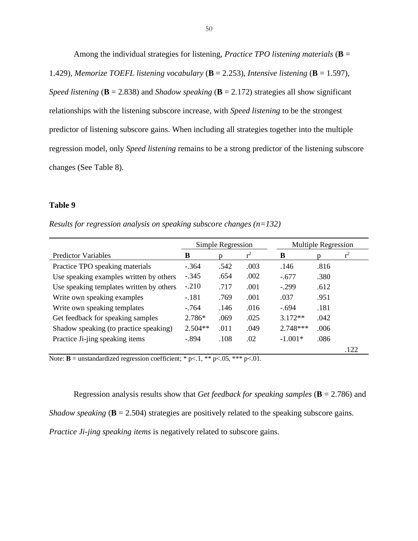Among the individual strategies for listening, *Practice TPO listening materials* (**B** = 1.429)*, Memorize TOEFL listening vocabulary* (**B** = 2.253), *Intensive listening* (**B** = 1.597), *Speed listening* ( $\bf{B}$  = 2.838) and *Shadow speaking* ( $\bf{B}$  = 2.172) strategies all show significant relationships with the listening subscore increase, with *Speed listening* to be the strongest predictor of listening subscore gains. When including all strategies together into the multiple regression model, only *Speed listening* remains to be a strong predictor of the listening subscore changes (See Table 8).

# **Table 9**

*Results for regression analysis on speaking subscore changes (n=132)*

|                                          | Simple Regression |      |       | <b>Multiple Regression</b> |      |       |
|------------------------------------------|-------------------|------|-------|----------------------------|------|-------|
| <b>Predictor Variables</b>               | B                 |      | $r^2$ | B                          |      | $r^2$ |
| Practice TPO speaking materials          | $-.364$           | .542 | .003  | .146                       | .816 |       |
| Use speaking examples written by others  | $-.345$           | .654 | .002  | $-.677$                    | .380 |       |
| Use speaking templates written by others | $-.210$           | .717 | .001  | $-.299$                    | .612 |       |
| Write own speaking examples              | $-.181$           | .769 | .001  | .037                       | .951 |       |
| Write own speaking templates             | $-764$            | .146 | .016  | $-.694$                    | .181 |       |
| Get feedback for speaking samples        | 2.786*            | .069 | .025  | $3.172**$                  | .042 |       |
| Shadow speaking (to practice speaking)   | $2.504**$         | .011 | .049  | $2.748***$                 | .006 |       |
| Practice Ji-jing speaking items          | $-.894$           | .108 | .02   | $-1.001*$                  | .086 |       |
|                                          |                   |      |       |                            |      | .122  |

Note: **B** = unstandardized regression coefficient; \* p<.1, \*\* p<.05, \*\*\* p<.01.

Regression analysis results show that *Get feedback for speaking samples* (**B** = 2.786) and

*Shadow speaking*  $(\mathbf{B} = 2.504)$  strategies are positively related to the speaking subscore gains.

*Practice Ji-jing speaking items* is negatively related to subscore gains.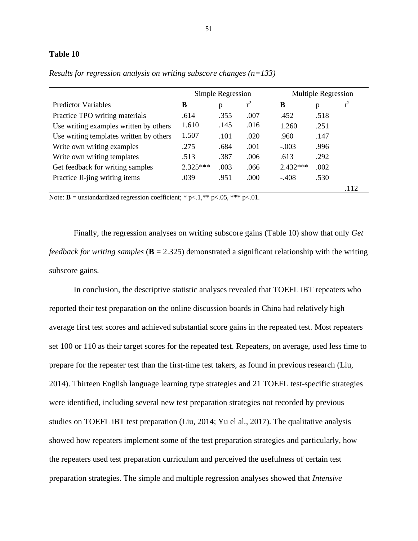#### **Table 10**

|                                         | Simple Regression |      |       | <b>Multiple Regression</b> |      |       |
|-----------------------------------------|-------------------|------|-------|----------------------------|------|-------|
| <b>Predictor Variables</b>              | B                 |      | $r^2$ | В                          |      | $r^2$ |
| Practice TPO writing materials          | .614              | .355 | .007  | .452                       | .518 |       |
| Use writing examples written by others  | 1.610             | .145 | .016  | 1.260                      | .251 |       |
| Use writing templates written by others | 1.507             | .101 | .020  | .960                       | .147 |       |
| Write own writing examples              | .275              | .684 | .001  | $-.003$                    | .996 |       |
| Write own writing templates             | .513              | .387 | .006  | .613                       | .292 |       |
| Get feedback for writing samples        | $2.325***$        | .003 | .066  | $2.432***$                 | .002 |       |
| Practice Ji-jing writing items          | .039              | .951 | .000  | $-.408$                    | .530 |       |
|                                         |                   |      |       |                            |      | .112  |

*Results for regression analysis on writing subscore changes (n=133)*

Note: **B** = unstandardized regression coefficient; \* p<.1,\*\* p<.05, \*\*\* p<.01.

Finally, the regression analyses on writing subscore gains (Table 10) show that only *Get feedback for writing samples* (**B** = 2.325) demonstrated a significant relationship with the writing subscore gains.

In conclusion, the descriptive statistic analyses revealed that TOEFL iBT repeaters who reported their test preparation on the online discussion boards in China had relatively high average first test scores and achieved substantial score gains in the repeated test. Most repeaters set 100 or 110 as their target scores for the repeated test. Repeaters, on average, used less time to prepare for the repeater test than the first-time test takers, as found in previous research (Liu, 2014). Thirteen English language learning type strategies and 21 TOEFL test-specific strategies were identified, including several new test preparation strategies not recorded by previous studies on TOEFL iBT test preparation (Liu, 2014; Yu el al., 2017). The qualitative analysis showed how repeaters implement some of the test preparation strategies and particularly, how the repeaters used test preparation curriculum and perceived the usefulness of certain test preparation strategies. The simple and multiple regression analyses showed that *Intensive*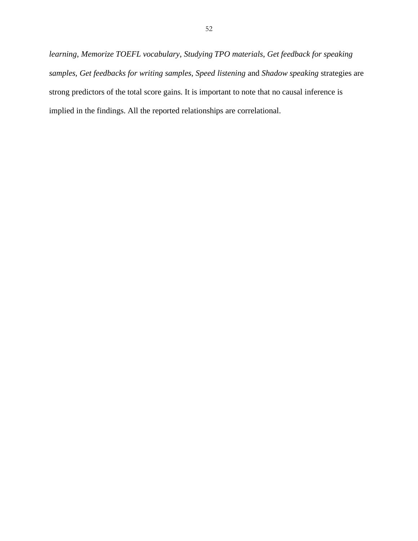*learning*, *Memorize TOEFL vocabulary*, *Studying TPO materials*, *Get feedback for speaking samples, Get feedbacks for writing samples*, *Speed listening* and *Shadow speaking* strategies are strong predictors of the total score gains. It is important to note that no causal inference is implied in the findings. All the reported relationships are correlational.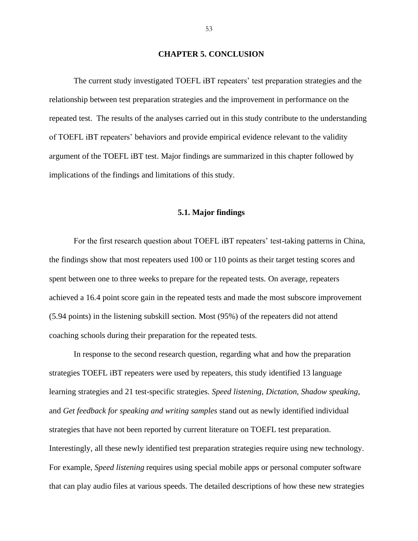#### **CHAPTER 5. CONCLUSION**

<span id="page-57-0"></span>The current study investigated TOEFL iBT repeaters' test preparation strategies and the relationship between test preparation strategies and the improvement in performance on the repeated test. The results of the analyses carried out in this study contribute to the understanding of TOEFL iBT repeaters' behaviors and provide empirical evidence relevant to the validity argument of the TOEFL iBT test. Major findings are summarized in this chapter followed by implications of the findings and limitations of this study.

### **5.1. Major findings**

<span id="page-57-1"></span>For the first research question about TOEFL iBT repeaters' test-taking patterns in China, the findings show that most repeaters used 100 or 110 points as their target testing scores and spent between one to three weeks to prepare for the repeated tests. On average, repeaters achieved a 16.4 point score gain in the repeated tests and made the most subscore improvement (5.94 points) in the listening subskill section. Most (95%) of the repeaters did not attend coaching schools during their preparation for the repeated tests.

In response to the second research question, regarding what and how the preparation strategies TOEFL iBT repeaters were used by repeaters, this study identified 13 language learning strategies and 21 test-specific strategies. *Speed listening*, *Dictation*, *Shadow speaking*, and *Get feedback for speaking and writing samples* stand out as newly identified individual strategies that have not been reported by current literature on TOEFL test preparation. Interestingly, all these newly identified test preparation strategies require using new technology. For example, *Speed listening* requires using special mobile apps or personal computer software that can play audio files at various speeds. The detailed descriptions of how these new strategies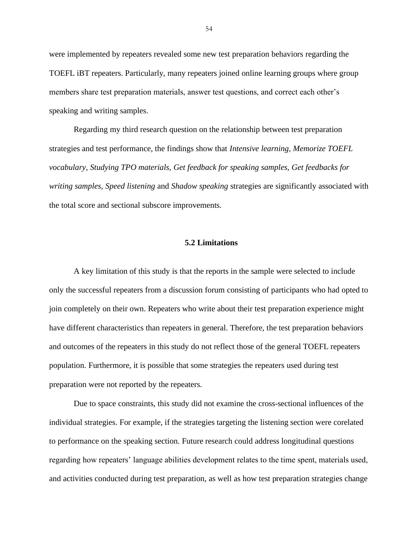were implemented by repeaters revealed some new test preparation behaviors regarding the TOEFL iBT repeaters. Particularly, many repeaters joined online learning groups where group members share test preparation materials, answer test questions, and correct each other's speaking and writing samples.

Regarding my third research question on the relationship between test preparation strategies and test performance, the findings show that *Intensive learning*, *Memorize TOEFL vocabulary*, *Studying TPO materials*, *Get feedback for speaking samples, Get feedbacks for writing samples*, *Speed listening* and *Shadow speaking* strategies are significantly associated with the total score and sectional subscore improvements.

### **5.2 Limitations**

<span id="page-58-0"></span>A key limitation of this study is that the reports in the sample were selected to include only the successful repeaters from a discussion forum consisting of participants who had opted to join completely on their own. Repeaters who write about their test preparation experience might have different characteristics than repeaters in general. Therefore, the test preparation behaviors and outcomes of the repeaters in this study do not reflect those of the general TOEFL repeaters population. Furthermore, it is possible that some strategies the repeaters used during test preparation were not reported by the repeaters.

Due to space constraints, this study did not examine the cross-sectional influences of the individual strategies. For example, if the strategies targeting the listening section were corelated to performance on the speaking section. Future research could address longitudinal questions regarding how repeaters' language abilities development relates to the time spent, materials used, and activities conducted during test preparation, as well as how test preparation strategies change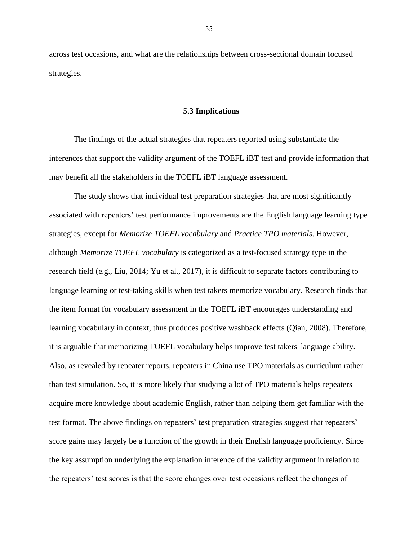across test occasions, and what are the relationships between cross-sectional domain focused strategies.

#### **5.3 Implications**

<span id="page-59-0"></span>The findings of the actual strategies that repeaters reported using substantiate the inferences that support the validity argument of the TOEFL iBT test and provide information that may benefit all the stakeholders in the TOEFL iBT language assessment.

The study shows that individual test preparation strategies that are most significantly associated with repeaters' test performance improvements are the English language learning type strategies, except for *Memorize TOEFL vocabulary* and *Practice TPO materials*. However, although *Memorize TOEFL vocabulary* is categorized as a test-focused strategy type in the research field (e.g., Liu, 2014; Yu et al., 2017), it is difficult to separate factors contributing to language learning or test-taking skills when test takers memorize vocabulary. Research finds that the item format for vocabulary assessment in the TOEFL iBT encourages understanding and learning vocabulary in context, thus produces positive washback effects (Qian, 2008). Therefore, it is arguable that memorizing TOEFL vocabulary helps improve test takers' language ability. Also, as revealed by repeater reports, repeaters in China use TPO materials as curriculum rather than test simulation. So, it is more likely that studying a lot of TPO materials helps repeaters acquire more knowledge about academic English, rather than helping them get familiar with the test format. The above findings on repeaters' test preparation strategies suggest that repeaters' score gains may largely be a function of the growth in their English language proficiency. Since the key assumption underlying the explanation inference of the validity argument in relation to the repeaters' test scores is that the score changes over test occasions reflect the changes of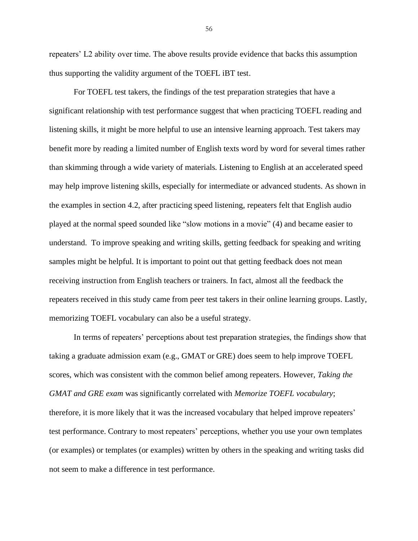repeaters' L2 ability over time. The above results provide evidence that backs this assumption thus supporting the validity argument of the TOEFL iBT test.

For TOEFL test takers, the findings of the test preparation strategies that have a significant relationship with test performance suggest that when practicing TOEFL reading and listening skills, it might be more helpful to use an intensive learning approach. Test takers may benefit more by reading a limited number of English texts word by word for several times rather than skimming through a wide variety of materials. Listening to English at an accelerated speed may help improve listening skills, especially for intermediate or advanced students. As shown in the examples in section 4.2, after practicing speed listening, repeaters felt that English audio played at the normal speed sounded like "slow motions in a movie" (4) and became easier to understand. To improve speaking and writing skills, getting feedback for speaking and writing samples might be helpful. It is important to point out that getting feedback does not mean receiving instruction from English teachers or trainers. In fact, almost all the feedback the repeaters received in this study came from peer test takers in their online learning groups. Lastly, memorizing TOEFL vocabulary can also be a useful strategy.

In terms of repeaters' perceptions about test preparation strategies, the findings show that taking a graduate admission exam (e.g., GMAT or GRE) does seem to help improve TOEFL scores, which was consistent with the common belief among repeaters. However, *Taking the GMAT and GRE exam* was significantly correlated with *Memorize TOEFL vocabulary*; therefore, it is more likely that it was the increased vocabulary that helped improve repeaters' test performance. Contrary to most repeaters' perceptions, whether you use your own templates (or examples) or templates (or examples) written by others in the speaking and writing tasks did not seem to make a difference in test performance.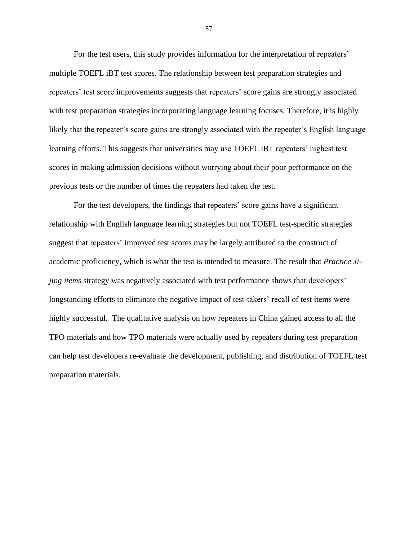For the test users, this study provides information for the interpretation of repeaters' multiple TOEFL iBT test scores. The relationship between test preparation strategies and repeaters' test score improvements suggests that repeaters' score gains are strongly associated with test preparation strategies incorporating language learning focuses. Therefore, it is highly likely that the repeater's score gains are strongly associated with the repeater's English language learning efforts. This suggests that universities may use TOEFL iBT repeaters' highest test scores in making admission decisions without worrying about their poor performance on the previous tests or the number of times the repeaters had taken the test.

For the test developers, the findings that repeaters' score gains have a significant relationship with English language learning strategies but not TOEFL test-specific strategies suggest that repeaters' improved test scores may be largely attributed to the construct of academic proficiency, which is what the test is intended to measure. The result that *Practice Jijing items* strategy was negatively associated with test performance shows that developers' longstanding efforts to eliminate the negative impact of test-takers' recall of test items were highly successful. The qualitative analysis on how repeaters in China gained access to all the TPO materials and how TPO materials were actually used by repeaters during test preparation can help test developers re-evaluate the development, publishing, and distribution of TOEFL test preparation materials.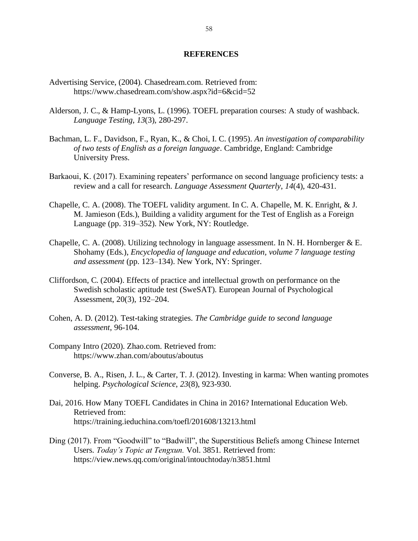#### **REFERENCES**

- <span id="page-62-0"></span>Advertising Service, (2004). Chasedream.com. Retrieved from: <https://www.chasedream.com/show.aspx?id=6&cid=52>
- Alderson, J. C., & Hamp-Lyons, L. (1996). TOEFL preparation courses: A study of washback. *Language Testing, 13*(3)*,* 280-297.
- Bachman, L. F., Davidson, F., Ryan, K., & Choi, I. C. (1995). *An investigation of comparability of two tests of English as a foreign language*. Cambridge, England: Cambridge University Press.
- Barkaoui, K. (2017). Examining repeaters' performance on second language proficiency tests: a review and a call for research. *Language Assessment Quarterly*, *14*(4), 420-431.
- Chapelle, C. A. (2008). The TOEFL validity argument. In C. A. Chapelle, M. K. Enright, & J. M. Jamieson (Eds.), Building a validity argument for the Test of English as a Foreign Language (pp. 319–352). New York, NY: Routledge.
- Chapelle, C. A. (2008). Utilizing technology in language assessment. In N. H. Hornberger & E. Shohamy (Eds.), *Encyclopedia of language and education, volume 7 language testing and assessment* (pp. 123–134). New York, NY: Springer.
- Cliffordson, C. (2004). Effects of practice and intellectual growth on performance on the Swedish scholastic aptitude test (SweSAT). European Journal of Psychological Assessment, 20(3), 192–204.
- Cohen, A. D. (2012). Test-taking strategies. *The Cambridge guide to second language assessment*, 96-104.
- Company Intro (2020). Zhao.com. Retrieved from: <https://www.zhan.com/aboutus/aboutus>
- Converse, B. A., Risen, J. L., & Carter, T. J. (2012). Investing in karma: When wanting promotes helping. *Psychological Science*, *23*(8), 923-930.
- Dai, 2016. How Many TOEFL Candidates in China in 2016? International Education Web. Retrieved from: https://training.ieduchina.com/toefl/201608/13213.html
- Ding (2017). From "Goodwill" to "Badwill", the Superstitious Beliefs among Chinese Internet Users. *Today's Topic at Tengxun.* Vol. 3851*.* Retrieved from: https://view.news.qq.com/original/intouchtoday/n3851.html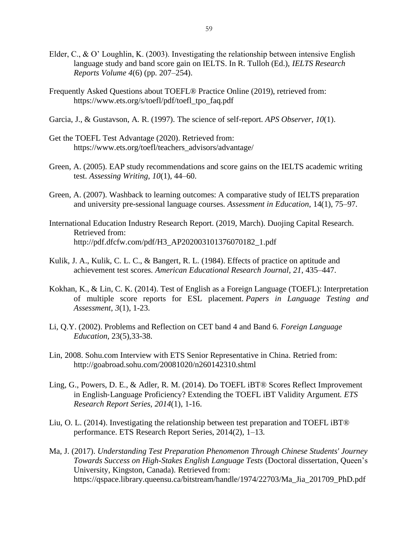- Elder, C., & O' Loughlin, K. (2003). Investigating the relationship between intensive English language study and band score gain on IELTS. In R. Tulloh (Ed.), *IELTS Research Reports Volume 4*(6) (pp. 207–254).
- Frequently Asked Questions about TOEFL® Practice Online (2019), retrieved from: [https://www.ets.org/s/toefl/pdf/toefl\\_tpo\\_faq.pdf](https://www.ets.org/s/toefl/pdf/toefl_tpo_faq.pdf)
- Garcia, J., & Gustavson, A. R. (1997). The science of self-report. *APS Observer*, *10*(1).
- Get the TOEFL Test Advantage (2020). Retrieved from: [https://www.ets.org/toefl/teachers\\_advisors/advantage/](https://www.ets.org/toefl/teachers_advisors/advantage/)
- Green, A. (2005). EAP study recommendations and score gains on the IELTS academic writing test. *Assessing Writing, 10*(1), 44–60.
- Green, A. (2007). Washback to learning outcomes: A comparative study of IELTS preparation and university pre-sessional language courses. *Assessment in Education*, 14(1), 75–97.
- International Education Industry Research Report. (2019, March). Duojing Capital Research. Retrieved from: [http://pdf.dfcfw.com/pdf/H3\\_AP202003101376070182\\_1.pdf](http://pdf.dfcfw.com/pdf/H3_AP202003101376070182_1.pdf)
- Kulik, J. A., Kulik, C. L. C., & Bangert, R. L. (1984). Effects of practice on aptitude and achievement test scores. *American Educational Research Journal*, *21*, 435–447.
- Kokhan, K., & Lin, C. K. (2014). Test of English as a Foreign Language (TOEFL): Interpretation of multiple score reports for ESL placement. *Papers in Language Testing and Assessment*, *3*(1), 1-23.
- Li, Q.Y. (2002). Problems and Reflection on CET band 4 and Band 6. *Foreign Language Education,* 23(5),33-38.
- Lin, 2008. Sohu.com Interview with ETS Senior Representative in China. Retried from: http://goabroad.sohu.com/20081020/n260142310.shtml
- Ling, G., Powers, D. E., & Adler, R. M. (2014). Do TOEFL iBT® Scores Reflect Improvement in English‐Language Proficiency? Extending the TOEFL iBT Validity Argument. *ETS Research Report Series*, *2014*(1), 1-16.
- Liu, O. L. (2014). Investigating the relationship between test preparation and TOEFL iBT® performance. ETS Research Report Series, 2014(2), 1–13.
- Ma, J. (2017). *Understanding Test Preparation Phenomenon Through Chinese Students' Journey Towards Success on High-Stakes English Language Tests* (Doctoral dissertation, Queen's University, Kingston, Canada). Retrieved from: https://qspace.library.queensu.ca/bitstream/handle/1974/22703/Ma\_Jia\_201709\_PhD.pdf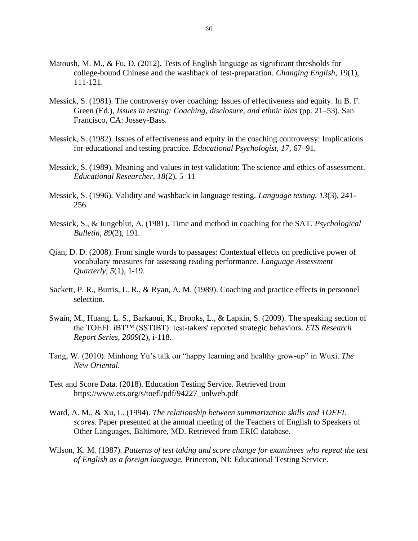- Matoush, M. M., & Fu, D. (2012). Tests of English language as significant thresholds for college-bound Chinese and the washback of test-preparation. *Changing English*, *19*(1), 111-121.
- Messick, S. (1981). The controversy over coaching: Issues of effectiveness and equity. In B. F. Green (Ed.), *Issues in testing: Coaching, disclosure, and ethnic bias* (pp. 21–53). San Francisco, CA: Jossey-Bass.
- Messick, S. (1982). Issues of effectiveness and equity in the coaching controversy: Implications for educational and testing practice. *Educational Psychologist*, *17*, 67–91.
- Messick, S. (1989). Meaning and values in test validation: The science and ethics of assessment. *Educational Researcher, 18*(2), 5–11
- Messick, S. (1996). Validity and washback in language testing. *Language testing*, *13*(3), 241- 256.
- Messick, S., & Jungeblut, A. (1981). Time and method in coaching for the SAT. *Psychological Bulletin*, *89*(2), 191.
- Qian, D. D. (2008). From single words to passages: Contextual effects on predictive power of vocabulary measures for assessing reading performance. *Language Assessment Quarterly*, *5*(1), 1-19.
- Sackett, P. R., Burris, L. R., & Ryan, A. M. (1989). Coaching and practice effects in personnel selection.
- Swain, M., Huang, L. S., Barkaoui, K., Brooks, L., & Lapkin, S. (2009). The speaking section of the TOEFL iBT™ (SSTIBT): test‐takers' reported strategic behaviors. *ETS Research Report Series*, *2009*(2), i-118.
- Tang, W. (2010). Minhong Yu's talk on "happy learning and healthy grow-up" in Wuxi. *The New Oriental.*
- Test and Score Data. (2018). Education Testing Service. Retrieved from [https://www.ets.org/s/toefl/pdf/94227\\_unlweb.pdf](https://www.ets.org/s/toefl/pdf/94227_unlweb.pdf)
- Ward, A. M., & Xu, L. (1994). *The relationship between summarization skills and TOEFL scores*. Paper presented at the annual meeting of the Teachers of English to Speakers of Other Languages, Baltimore, MD. Retrieved from ERIC database.
- Wilson, K. M. (1987). *Patterns of test taking and score change for examinees who repeat the test of English as a foreign language.* Princeton, NJ: Educational Testing Service.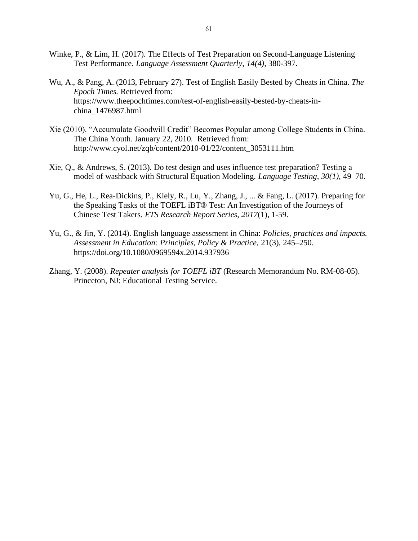- Winke, P., & Lim, H. (2017). The Effects of Test Preparation on Second-Language Listening Test Performance. *Language Assessment Quarterly, 14(4),* 380-397.
- Wu, A., & Pang, A. (2013, February 27). Test of English Easily Bested by Cheats in China. *The Epoch Times.* Retrieved from: https://www.theepochtimes.com/test-of-english-easily-bested-by-cheats-inchina\_1476987.html
- Xie (2010). "Accumulate Goodwill Credit" Becomes Popular among College Students in China. The China Youth. January 22, 2010*.* Retrieved from: http://www.cyol.net/zqb/content/2010-01/22/content\_3053111.htm
- Xie, Q., & Andrews, S. (2013). Do test design and uses influence test preparation? Testing a model of washback with Structural Equation Modeling. *Language Testing, 30(1),* 49–70.
- Yu, G., He, L., Rea‐Dickins, P., Kiely, R., Lu, Y., Zhang, J., ... & Fang, L. (2017). Preparing for the Speaking Tasks of the TOEFL iBT® Test: An Investigation of the Journeys of Chinese Test Takers. *ETS Research Report Series*, *2017*(1), 1-59.
- Yu, G., & Jin, Y. (2014). English language assessment in China: *Policies, practices and impacts. Assessment in Education: Principles, Policy & Practice,* 21(3), 245–250. <https://doi.org/10.1080/0969594x.2014.937936>
- Zhang, Y. (2008). *Repeater analysis for TOEFL iBT* (Research Memorandum No. RM-08-05). Princeton, NJ: Educational Testing Service.